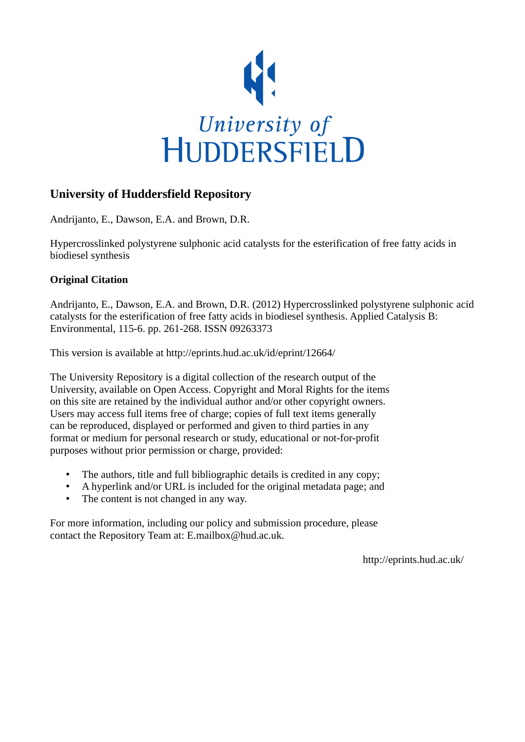

## **University of Huddersfield Repository**

Andrijanto, E., Dawson, E.A. and Brown, D.R.

Hypercrosslinked polystyrene sulphonic acid catalysts for the esterification of free fatty acids in biodiesel synthesis

## **Original Citation**

Andrijanto, E., Dawson, E.A. and Brown, D.R. (2012) Hypercrosslinked polystyrene sulphonic acid catalysts for the esterification of free fatty acids in biodiesel synthesis. Applied Catalysis B: Environmental, 115-6. pp. 261-268. ISSN 09263373

This version is available at http://eprints.hud.ac.uk/id/eprint/12664/

The University Repository is a digital collection of the research output of the University, available on Open Access. Copyright and Moral Rights for the items on this site are retained by the individual author and/or other copyright owners. Users may access full items free of charge; copies of full text items generally can be reproduced, displayed or performed and given to third parties in any format or medium for personal research or study, educational or not-for-profit purposes without prior permission or charge, provided:

- The authors, title and full bibliographic details is credited in any copy;
- A hyperlink and/or URL is included for the original metadata page; and
- The content is not changed in any way.

For more information, including our policy and submission procedure, please contact the Repository Team at: E.mailbox@hud.ac.uk.

http://eprints.hud.ac.uk/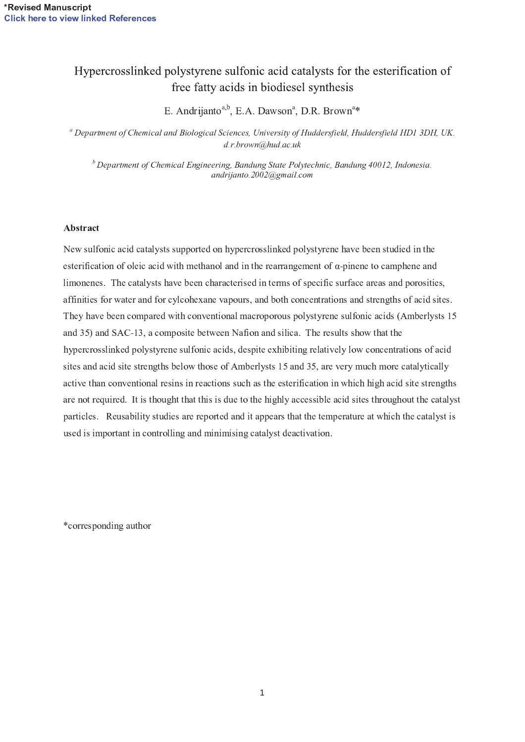## Hypercrosslinked polystyrene sulfonic acid catalysts for the esterification of free fatty acids in biodiesel synthesis

الا جماعة الصحيح المستخدم المستخدمات المستخدمات المستخدمات المستخدمات المستخدمات المستخدمات المستخدمات المستخدمات

 $\textsuperscript{a}$  Department of Chemical and Biological Sciences. University of Huddersfield. Huddersfield HD1 3DH. UK  $d.r.brown@hud.ac.uk$ 

 $\overline{b}$  Department of Chemical Engineering. Bandung State Polytechnic. Bandung 40012. Indonesia andrijanto.2002@gmail.com

## Abstract

New sulfonic acid catalysts supported on hypercrosslinked polystyrene have been studied in the esterification of oleic acid with methanol and in the rearrangement of  $\alpha$ -pinene to camphene an limonenes. The catalysts have been characterised in terms of specific surface areas and porosities, affinities for water and for cylcohexane vapours, and both concentrations and strengths of acid sites. They have been compared with conventional macroporous polystyrene sulfonic acids (Amberlysts 15 and 35) and SAC-13, a composite between Nafion and silica. The results show that the hy percross linked polystyrene sulfonic acids, despite exhibiting relatively low concentrations of acid sites and acid site strengths below those of Amberlysts 15 and 35, are very much more catalytically active than conventional resins in reactions such as the esterification in which high acid site strengths are not required. It is thought that this is due to the highly accessible acid sites throughout the catalyst particles. Reusability studies are reported and it appears that the temperature at which the catalyst is used is important in controlling and minimising catalyst deactivation.

o and a set of the set of the set of the set of the set of the set of the set of the set of the set of the set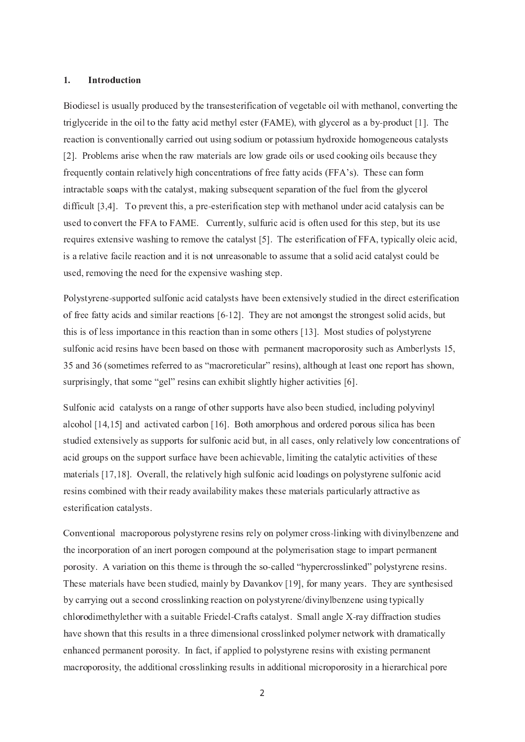### 1. Introduction

Biodiesel is usually produced by the transesterification of vegetable oil with methanol, converting the triglyceride in the oil to the fatty acid methyl ester (FAME), with glycerol as a by-product [1]. The reaction is conventionally carried out using sodium or potassium hydroxide homogeneous catalysts  $[2]$ . Problems arise when the raw materials are low grade oils or used cooking oils because they frequently contain relatively high concentrations of free fatty acids (FFA's). These can for intractable soaps with the catalyst, making subsequent separation of the fuel from the glycerol esterification step with methanol under acid catalysis can be used to convert the FFA to FAME. Currently, sulfuric acid is often used for this step, but its use requires extensive washing to remove the catalyst [5]. The esterification of FFA, typically oleic acid, is a relative facile reaction and it is not unreasonable to assume that a solid acid catalyst could be used, removing the need for the expensive washing step.

Polystyrene-supported sulfonic acid catalysts have been extensively studied in the direct esterificatio of free fatty acids and similar reactions [6-12]. They are not amongst the strongest solid acids, bu this is of less importance in this reaction than in some others [13]. Most studies of polystyrene sulfonic acid resins have been based on those with permanent macroporosity such as Amberlysts 15, 35 and 36 (sometimes referred to as "macroreticular" resins), although at least one report has shown, surprisingly, that some "gel" resins can exhibit slightly higher activities [6]

Sulfonic acid catalysts on a range of other supports have also been studied, including polyvinyl alcohol  $[14, 15]$  and activated carbon  $[16]$ . Both amorphous and ordered porous silica has been studied extensively as supports for sulfonic acid but, in all cases, only relatively low concentrations of acid groups on the support surface have been achievable, limiting the catalytic activities of these materials [17,18]. Overall, the relatively high sulfonic acid loadings on polystyrene sulfonic acid resins combined with their ready availability makes these materials particularly attractive as esterification catalysts.

Conventional macroporous polystyrene resins rely on polymer cross-linking with divinylbenzene an the incorporation of an inert porogen compound at the polymerisation stage to impart permanent porosity. A variation on this theme is through the so-called "hypercrosslinked" polystyrene resins These materials have been studied, mainly by Davankov [19], for many vears. They are synthesised by carrying out a second crosslinking reaction on polystyrene/divinylbenzene using typically chlorodimethylether with a suitable Friedel-Crafts catalyst. Small angle X-ray diffraction studie have shown that this results in a three dimensional crosslinked polymer network with dramatically enhanced permanent porosity. In fact, if applied to polystyrene resins with existing permanent macroporosity, the additional crosslinking results in additional microporosity in a hierarchical pore

 $\overline{2}$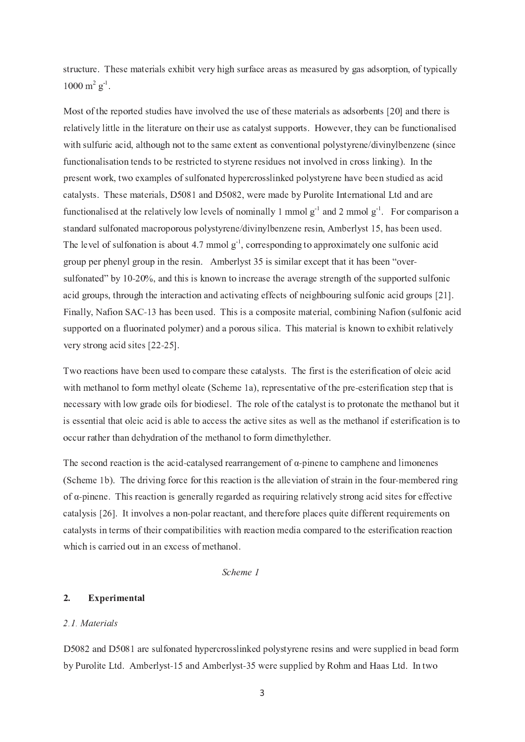structure. These materials exhibit very high surface areas as measured by gas adsorption, of typically  $1000 \text{ m}^2 \text{ g}^{-1}$ .

Most of the reported studies have involved the use of these materials as adsorbents [20] and there is relatively little in the literature on their use as catalyst supports. However, they can be functionalised with sulfuric acid, although not to the same extent as conventional polystyrene/divinylbenzene (since functionalisation tends to be restricted to styrene residues not involved in cross linking). In the present work, two examples of sulfonated hypercrosslinked polystyrene have been studied as acid catalysts. These materials, D5081 and D5082, were made by Purolite International Ltd and are functionalised at the relatively low levels of nominally 1 mmol  $g^{-1}$  and 2 mmol  $g^{-1}$ . For comparison a standard sulfonated macroporous polystyrene/divinylbenzene resin, Amberlyst 15, has been used. The level of sulfonation is about 4.7 mmol  $g<sup>-1</sup>$ , corresponding to approximately one sulfonic acid group per phenyl group in the resin. Amberlyst 35 is similar except that it has been "over\_ sulfonated" by 10-20%, and this is known to increase the average strength of the supported sulfoni acid groups, through the interaction and activating effects of neighbouring sulfonic acid groups [21]. Finally, Nafion SAC-13 has been used. This is a composite material, combining Nafion (sulfonic aci supported on a fluorinated polymer) and a porous silica. This material is known to exhibit relatively very strong acid sites  $[22-25]$ 

Two reactions have been used to compare these catalysts. The first is the esterification of oleic acid with methanol to form methyl oleate (Scheme 1a), representative of the pre-esterification step that i necessary with low grade oils for biodiesel. The role of the catalyst is to protonate the methanol but it is essential that oleic acid is able to access the active sites as well as the methanol if esterification is to occur rather than dehydration of the methanol to form dimethylether.

The second reaction is the acid-catalysed rearrangement of  $\alpha$ -pinene to camphene and limonene (Scheme 1b). The driving force for this reaction is the alleviation of strain in the four-membered rin of a-pinene. This reaction is generally regarded as requiring relatively strong acid sites for effective catalysis [26]. It involves a non-polar reactant, and therefore places quite different requirements o catalysts in terms of their compatibilities with reaction media compared to the esterification reaction which is carried out in an excess of methanol.

Scheme 1

## 2. Experimental

### 2.1. Materials

D 5082 and D 5081 are sulfonated hypercrosslinked polystyrene resins and were supplied in bead form by Purolite Ltd. Amberlyst-15 and Amberlyst-35 were supplied by Rohm and Haas Ltd. In tw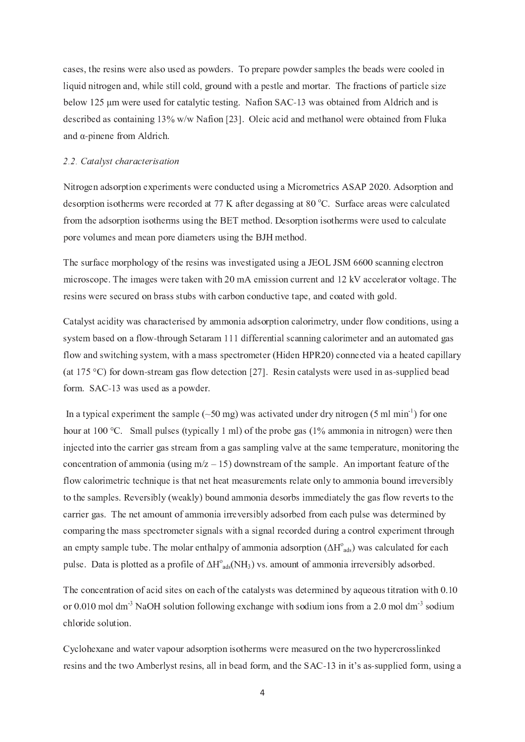cases, the resins were also used as powders. To prepare powder samples the beads were cooled in liquid nitrogen and, while still cold, ground with a pestle and mortar. The fractions of particle size below 125 μm were used for catalytic testing. Nafion SAC-13 was obtained from Aldrich and i described as containing  $13\%$  w/w Nafion [23]. Oleic acid and methanol were obtained from Fluka and α-pinene from Aldrich

### 2.2. Catalyst characterisation

Nitrogen adsorption experiments were conducted using a Micrometrics ASAP 2020. Adsorption and desorption isotherms were recorded at 77 K after degassing at 80  $^{\circ}$ C. Surface areas were calculated from the adsorption isotherms using the BET method. Desorption isotherms were used to calculate pore volumes and mean pore diameters using the BJH method.

The surface morphology of the resins was investigated using a JEOL JSM 6600 scanning electron microscope. The images were taken with 20 mA emission current and  $12 \text{ kV}$  accelerator voltage. The resins were secured on brass stubs with carbon conductive tape, and coated with gold.

Catalyst acidity was characterised by ammonia adsorption calorimetry, under flow conditions, using a system based on a flow-through Setaram 111 differential scanning calorimeter and an automated ga flow and switching system, with a mass spectrometer (Hiden HPR20) connected via a heated capillary (at 175 °C) for down-stream gas flow detection [27]. Resin catalysts were used in as-supplied bea form. SAC-13 was used as a powder

In a typical experiment the sample  $(\sim 50 \text{ mg})$  was activated under dry nitrogen (5 ml min<sup>-1</sup>) for one hour at 100 °C. Small pulses (typically 1 ml) of the probe gas (1% ammonia in nitrogen) were then injected into the carrier gas stream from a gas sampling valve at the same temperature, monitoring the concentration of ammonia (using m/z – 15) downstream of the sample. An important feature of th flow calorimetric technique is that net heat measurements relate only to ammonia bound irreversibly to the samples. Reversibly (weakly) bound ammonia desorbs immediately the gas flow reverts to the carrier gas. The net amount of ammonia irreversibly adsorbed from each pulse was determined by comparing the mass spectrometer signals with a signal recorded during a control experiment through an empty sample tube. The molar enthalpy of ammonia adsorption ( $\Delta H^{\circ}_{\ \ \text{ads}}$ ) was calculated for eac pulse. Data is plotted as a profile of  $\Delta H^{\circ}_{ads}(NH_3)$  vs. amount of ammonia irreversibly adsorbed

The concentration of acid sites on each of the catalysts was determined by aqueous titration with 0.10 <sup>O</sup> <sup>X</sup> ¢ ` ¢ <sup>f</sup> ¢ ] <sup>O</sup> <sup>M</sup> <sup>T</sup> ] ¤ <sup>H</sup> <sup>S</sup> ¦ <sup>K</sup> <sup>O</sup> <sup>M</sup> <sup>L</sup> <sup>U</sup> <sup>Q</sup> <sup>O</sup> <sup>P</sup> <sup>N</sup> <sup>O</sup> <sup>M</sup> <sup>M</sup> <sup>O</sup> <sup>J</sup> <sup>Q</sup> <sup>P</sup> ^ <sup>I</sup> <sup>c</sup> <sup>R</sup> <sup>Y</sup> <sup>S</sup> <sup>P</sup> ^ <sup>I</sup> <sup>J</sup> <sup>Q</sup> <sup>U</sup> <sup>Y</sup> <sup>K</sup> <sup>O</sup> <sup>T</sup> <sup>Q</sup> <sup>L</sup> ] <sup>Q</sup> <sup>O</sup> <sup>P</sup> <sup>K</sup> <sup>N</sup> <sup>X</sup> <sup>O</sup> ] <sup>S</sup> ` ¢ ] <sup>O</sup> <sup>M</sup> <sup>T</sup> ] ¤ <sup>K</sup> <sup>O</sup> <sup>T</sup> <sup>Q</sup> <sup>L</sup> ] chloride solution.

Cyclohexane and water vapour adsorption isotherms were measured on the two hypercrosslinked resins and the two Amberlyst resins, all in bead form, and the SAC-13 in it's as-supplied form, using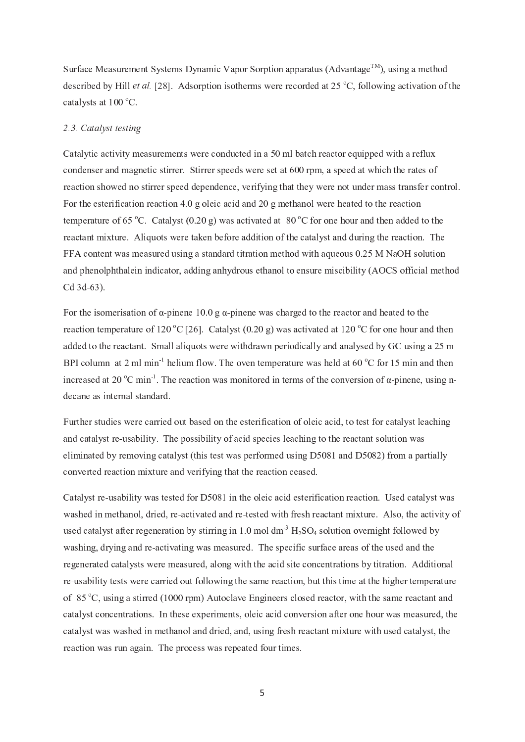Surface Measurement Systems Dynamic Vapor Sorption apparatus (Advantage<sup>TM</sup>), using a method described by Hill *et al.* [28]. Adsorption isotherms were recorded at 25 °C, following activation of the catalysts at  $100^{\circ}$ C.

### 2.3. Catalyst testing

Catalytic activity measurements were conducted in a 50 ml batch reactor equipped with a reflux condenser and magnetic stirrer. Stirrer speeds were set at 600 rpm, a speed at which the rates of reaction showed no stirrer speed dependence, verifying that they were not under mass transfer control. For the esterification reaction 4.0 g oleic acid and 20 g methanol were heated to the reaction temperature of 65 °C. Catalyst (0.20 g) was activated at 80 °C for one hour and then added to the reactant mixture. Aliquots were taken before addition of the catalyst and during the reaction. The FFA content was measured using a standard titration method with aqueous  $0.25$  M NaOH solution and phenolphthalein indicator, adding anhydrous ethanol to ensure miscibility (AOCS official method Cd 3d-63)

For the isomerisation of  $\alpha$ -pinene 10.0 g  $\alpha$ -pinene was charged to the reactor and heated to th reaction temperature of 120 °C [26]. Catalyst (0.20 g) was activated at 120 °C for one hour and then added to the reactant. Small aliquots were withdrawn periodically and analysed by GC using a 25 m BPI column at 2 ml min<sup>-1</sup> helium flow. The oven temperature was held at 60  $^{\circ}$ C for 15 min and then increased at 20 °C min<sup>1</sup>. The reaction was monitored in terms of the conversion of  $\alpha$ -pinene, using n decane as internal standard

Further studies were carried out based on the esterification of oleic acid, to test for catalyst leaching and catalyst re-usability. The possibility of acid species leaching to the reactant solution wa eliminated by removing catalyst (this test was performed using D5081 and D5082) from a partially converted reaction mixture and verifying that the reaction ceased.

Catalyst re-usability was tested for D5081 in the oleic acid esterification reaction. Used catalyst wa washed in methanol, dried, re-activated and re-tested with fresh reactant mixture. Also, the activity o used catalyst after regeneration by stirring in 1.0 mol dm<sup>3</sup>  $H_2SO_4$  solution overnight followed b washing, drying and re-activating was measured. The specific surface areas of the used and the regenerated catalysts were measured, along with the acid site concentrations by titration. Additional re-usability tests were carried out following the same reaction, but this time at the higher temperature of 85  $\degree$ C, using a stirred (1000 rpm) Autoclave Engineers closed reactor, with the same reactant and catalyst concentrations. In these experiments, oleic acid conversion after one hour was measured, the catalyst was washed in methanol and dried, and, using fresh reactant mixture with used catalyst, the reaction was run again. The process was repeated four times.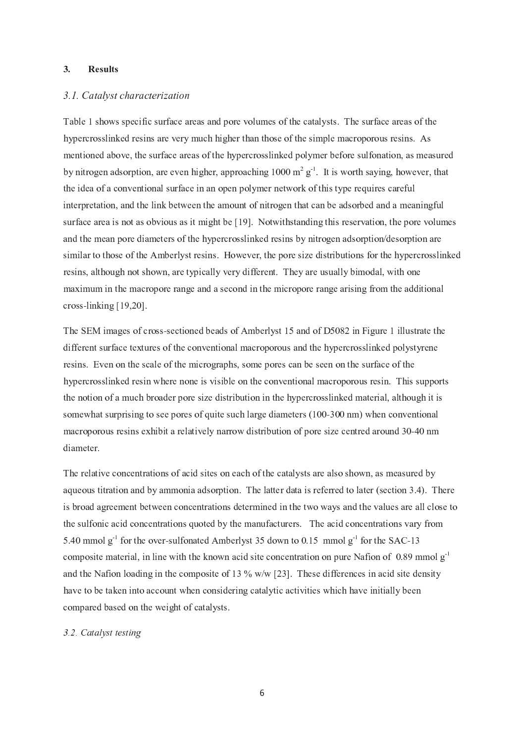### 3. Results

### 3.1. Catalyst characterization

Table 1 shows specific surface areas and pore volumes of the catalysts. The surface areas of the hy percross linked resins are very much higher than those of the simple macroporous resins. As mentioned above, the surface areas of the hypercrosslinked polymer before sulfonation, as measured by nitrogen adsorption, are even higher, approaching  $1000 \text{ m}^2$  g<sup>-1</sup>. It is worth saying, however, that the idea of a conventional surface in an open polymer network of this type requires careful interpretation, and the link between the amount of nitrogen that can be adsorbed and a meaningful surface area is not as obvious as it might be [19]. Notwithstanding this reservation, the pore volumes and the mean pore diameters of the hypercrosslinked resins by nitrogen adsorption/desorption are similar to those of the Amberlyst resins. However, the pore size distributions for the hypercrosslinked resins, although not shown, are typically very different. They are usually bimodal, with one maximum in the macropore range and a second in the micropore range arising from the additional cross-

The SEM images of cross-sectioned beads of Amberlyst 15 and of D5082 in Figure 1 illustrate the different surface textures of the conventional macroporous and the hypercrosslinked polystyrene resins. Even on the scale of the micrographs, some pores can be seen on the surface of the hy percross linked resin where none is visible on the conventional macroporous resin. This supports the notion of a much broader pore size distribution in the hypercrosslinked material, although it is somewhat surprising to see pores of quite such large diameters  $(100-300 \text{ nm})$  when conventiona macroporous resins exhibit a relatively narrow distribution of pore size centred around 30-40 n diameter.

The relative concentrations of acid sites on each of the catalysts are also shown, as measured by aqueous titration and by ammonia adsorption. The latter data is referred to later (section 3.4). There is broad agreement between concentrations determined in the two ways and the values are all close to the sulfonic acid concentrations quoted by the manufacturers. The acid concentrations vary from  $\mathcal{L} = \mathcal{L} = \mathcal{L} = \mathcal{L} = \mathcal{L} = \mathcal{L} = \mathcal{L} = \mathcal{L} = \mathcal{L} = \mathcal{L} = \mathcal{L} = \mathcal{L} = \mathcal{L} = \mathcal{L} = \mathcal{L} = \mathcal{L} = \mathcal{L} = \mathcal{L} = \mathcal{L} = \mathcal{L} = \mathcal{L} = \mathcal{L} = \mathcal{L} = \mathcal{L} = \mathcal{L} = \mathcal{L} = \mathcal{L} = \mathcal{L} = \mathcal{L} = \mathcal{L} = \mathcal{L} = \mathcal$ -sulfonated Amberlyst 35 down to  $0.15 \text{ mmol g}$  for the SAC-1 composite material, in line with the known acid site concentration on pure Nafion of 0.89 mmol  $g<sup>-1</sup>$ and the Nafion loading in the composite of 13 %  $w/w$  [23]. These differences in acid site density have to be taken into account when considering catalytic activities which have initially been compared based on the weight of catalysts.

### 3.2. Catalyst testing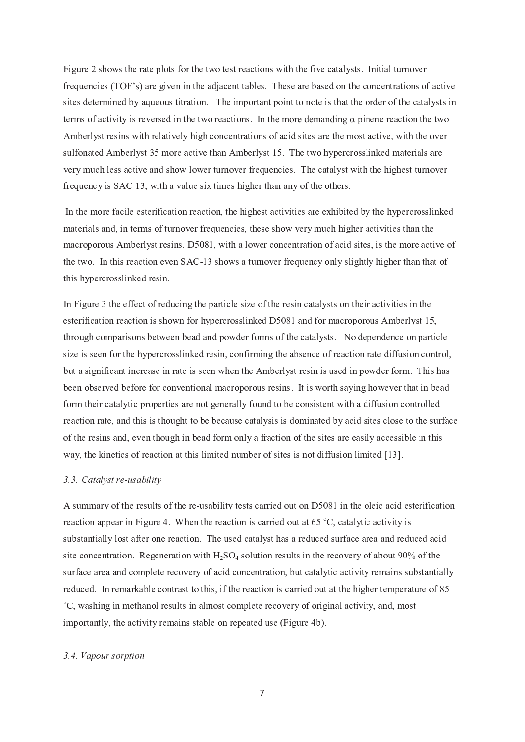Figure 2 shows the rate plots for the two test reactions with the five catalysts. Initial turnover frequencies (TOF's) are given in the adjacent tables. These are based on the concentrations of active sites determined by aqueous titration. The important point to note is that the order of the catalysts in terms of activity is reversed in the two reactions. In the more demanding  $\alpha$ -pinene reaction the tw Amberlyst resins with relatively high concentrations of acid sites are the most active, with the oversulfonated Amberlyst 35 more active than Amberlyst 15. The two hypercrosslinked materials are very much less active and show lower turnover frequencies. The catalyst with the highest turnover frequency is  $SAC-13$ , with a value six times higher than any of the others

In the more facile esterification reaction, the highest activities are exhibited by the hypercrosslinked materials and, in terms of turnover frequencies, these show very much higher activities than the macroporous Amberlyst resins. D5081, with a lower concentration of acid sites, is the more active of the two. In this reaction even SAC-13 shows a turnover frequency only slightly higher than that o this hypercrosslinked resin.

In Figure 3 the effect of reducing the particle size of the resin catalysts on their activities in the esterification reaction is shown for hypercrosslinked D5081 and for macroporous Amberlyst 15, through comparisons between bead and powder forms of the catalysts. No dependence on particle size is seen for the hypercrosslinked resin, confirming the absence of reaction rate diffusion control, but a significant increase in rate is seen when the Amberlyst resin is used in powder form. This has been observed before for conventional macroporous resins. It is worth saying however that in bead form their catalytic properties are not generally found to be consistent with a diffusion controlled reaction rate, and this is thought to be because catalysis is dominated by acid sites close to the surface of the resins and, even though in bead form only a fraction of the sites are easily accessible in this way, the kinetics of reaction at this limited number of sites is not diffusion limited [13].

### 3.3. Catalyst re-usability

A summary of the results of the re-usability tests carried out on D5081 in the oleic acid esterificatio reaction appear in Figure 4. When the reaction is carried out at 65  $\degree$ C, catalytic activity is substantially lost after one reaction. The used catalyst has a reduced surface area and reduced acid site concentration. Regeneration with  $H_2SO_4$  solution results in the recovery of about 90% of the surface area and complete recovery of acid concentration, but catalytic activity remains substantially reduced. In remarkable contrast to this, if the reaction is carried out at the higher temperature of 85  $^{\circ}$ C, washing in methanol results in almost complete recovery of original activity, and, most importantly, the activity remains stable on repeated use (Figure 4b).

### 3.4. Vapour sorption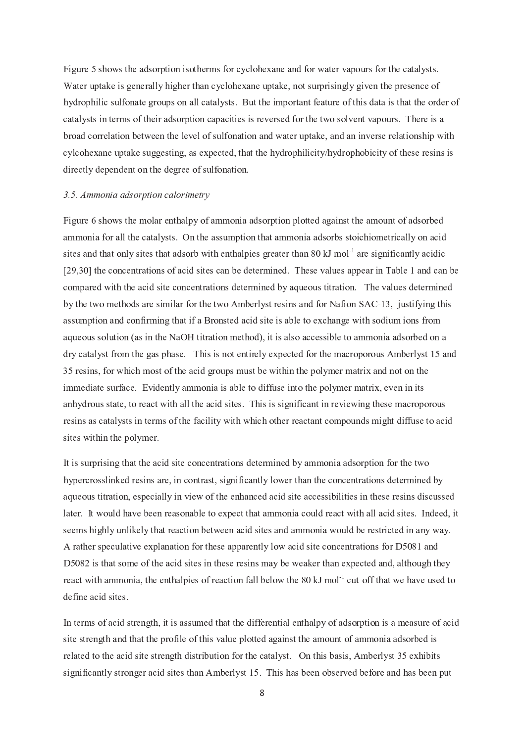Figure 5 shows the adsorption isotherms for cyclohexane and for water vapours for the catalysts. Water uptake is generally higher than cyclohexane uptake, not surprisingly given the presence of hydrophilic sulfonate groups on all catalysts. But the important feature of this data is that the order of catalysts in terms of their adsorption capacities is reversed for the two solvent vapours. There is a  $\alpha$  S T  $\alpha$  S T  $\alpha$  S T  $\alpha$  and  $\alpha$  or the set of sulfonation and water uptake, and an inverse relationship with cylcohexane uptake suggesting, as expected, that the hydrophilicity/hydrophobicity of these resins is directly dependent on the degree of sulfonation.

### 3.5. Ammonia adsorption calorimetry

Figure 6 shows the molar enthalpy of ammonia adsorption plotted against the amount of adsorbed ammonia for all the catalysts. On the assumption that ammonia adsorbs stoichiometrically on acid sites and that only sites that adsorb with enthalpies greater than 80 kJ mol<sup>-1</sup> are significantly acidic  $[29,30]$  the concentrations of acid sites can be determined. These values appear in Table 1 and can be compared with the acid site concentrations determined by aqueous titration. The values determined by the two methods are similar for the two Amberlyst resins and for Nafion  $SAC-13$ , justifying thi assumption and confirming that if a Bronsted acid site is able to exchange with sodium ions from aqueous solution (as in the NaOH titration method), it is also accessible to ammonia adsorbed on a dry catalyst from the gas phase. This is not entirely expected for the macroporous Amberlyst 15 and 35 resins, for which most of the acid groups must be within the polymer matrix and not on the immediate surface. Evidently ammonia is able to diffuse into the polymer matrix, even in its anhydrous state, to react with all the acid sites. This is significant in reviewing these macroporous resins as catalysts in terms of the facility with which other reactant compounds might diffuse to acid sites within the polymer.

It is surprising that the acid site concentrations determined by ammonia adsorption for the two hy percross linked resins are, in contrast, significantly lower than the concentrations determined by aqueous titration, especially in view of the enhanced acid site accessibilities in these resins discussed later. It would have been reasonable to expect that ammonia could react with all acid sites. Indeed, it seems highly unlikely that reaction between acid sites and ammonia would be restricted in any way. A rather speculative explanation for these apparently low acid site concentrations for D5081 and D 5082 is that some of the acid sites in these resins may be weaker than expected and, although they react with ammonia, the enthalpies of reaction fall below the 80 kJ mol<sup>-1</sup> cut-off that we have used t define acid sites.

In terms of acid strength, it is assumed that the differential enthalpy of adsorption is a measure of acid site strength and that the profile of this value plotted against the amount of ammonia adsorbed is related to the acid site strength distribution for the catalyst. On this basis, Amberlyst 35 exhibits significantly stronger acid sites than Amberlyst 15. This has been observed before and has been put

<sup>ó</sup>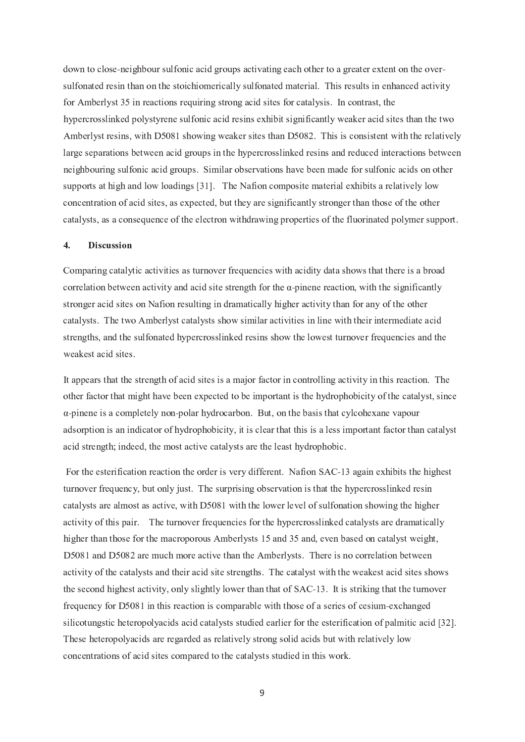down to close-neighbour sulfonic acid groups activating each other to a greater extent on the oversulfonated resin than on the stoichiomerically sulfonated material. This results in enhanced activity for Amberlyst 35 in reactions requiring strong acid sites for catalysis. In contrast, the hy percrosslinked polystyrene sulfonic acid resins exhibit significantly weaker acid sites than the two Amberlyst resins, with D5081 showing weaker sites than D5082. This is consistent with the relatively large separations between acid groups in the hypercrosslinked resins and reduced interactions between neighbouring sulfonic acid groups. Similar observations have been made for sulfonic acids on other supports at high and low loadings [31]. The Nafion composite material exhibits a relatively low concentration of acid sites, as expected, but they are significantly stronger than those of the other catalysts, as a consequence of the electron withdrawing properties of the fluorinated polymer support.

### 4. Discussion

Comparing catalytic activities as turnover frequencies with acidity data shows that there is a broad correlation between activity and acid site strength for the  $\alpha$ -pinene reaction, with the significantl stronger acid sites on Nafion resulting in dramatically higher activity than for any of the other catalysts. The two Amberlyst catalysts show similar activities in line with their intermediate acid strengths, and the sulfonated hypercrosslinked resins show the lowest turnover frequencies and the weakest acid sites

It appears that the strength of acid sites is a major factor in controlling activity in this reaction. The other factor that might have been expected to be important is the hydrophobicity of the catalyst, since α-pinene is a completely non-polar hydrocarbon. But, on the basis that cylcohexane vapou adsorption is an indicator of hydrophobicity, it is clear that this is a less important factor than catalyst acid strength; indeed, the most active catalysts are the least hydrophobic.

For the esterification reaction the order is very different. Nafion  $SAC-13$  again exhibits the highes turnover frequency, but only just. The surprising observation is that the hypercrosslinked resin catalysts are almost as active, with D5081 with the lower level of sulfonation showing the higher activity of this pair. The turnover frequencies for the hypercrosslinked catalysts are dramatically higher than those for the macroporous Amberlysts 15 and 35 and, even based on catalyst weight, D 5081 and D 5082 are much more active than the Amberlysts. There is no correlation between activity of the catalysts and their acid site strengths. The catalyst with the weakest acid sites shows the second highest activity, only slightly lower than that of  $SAC-13$ . It is striking that the turnove frequency for D5081 in this reaction is comparable with those of a series of cesium-exchange silicotungstic heteropolyacids acid catalysts studied earlier for the esterification of palmitic acid [32]. These heteropolyacids are regarded as relatively strong solid acids but with relatively low concentrations of acid sites compared to the catalysts studied in this work.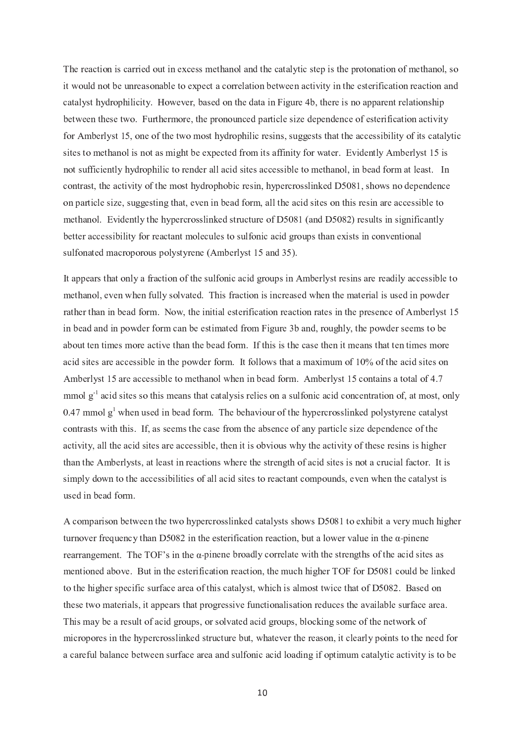The reaction is carried out in excess methanol and the catalytic step is the protonation of methanol, so it would not be unreasonable to expect a correlation between activity in the esterification reaction and catalyst hydrophilicity. However, based on the data in Figure 4b, there is no apparent relationship between these two. Furthermore, the pronounced particle size dependence of esterification activity for Amberlyst 15, one of the two most hydrophilic resins, suggests that the accessibility of its catalytic sites to methanol is not as might be expected from its affinity for water. Evidently Amberlyst 15 is not sufficiently hydrophilic to render all acid sites accessible to methanol, in bead form at least. In contrast, the activity of the most hydrophobic resin, hypercrosslinked D5081, shows no dependence on particle size, suggesting that, even in bead form, all the acid sites on this resin are accessible to methanol. Evidently the hypercrosslinked structure of D5081 (and D5082) results in significantly  $b$  better accessibility for reactant molecules to sulfonic acid groups than exists in conventional sulfonated macroporous polystyrene (Amberlyst 15 and 35).

It appears that only a fraction of the sulfonic acid groups in Amberlyst resins are readily accessible to methanol, even when fully solvated. This fraction is increased when the material is used in powder rather than in bead form. Now, the initial esterification reaction rates in the presence of Amberlyst 15 in bead and in powder form can be estimated from Figure 3b and, roughly, the powder seems to be about ten times more active than the bead form. If this is the case then it means that ten times more acid sites are accessible in the powder form. It follows that a maximum of 10% of the acid sites on Amberlyst 15 are accessible to methanol when in bead form. Amberlyst 15 contains a total of 4.7  $\mu$  mmol g<sup>-1</sup> acid sites so this means that catalysis relies on a sulfonic acid concentration of, at most, only 0.47 mmol  $g<sup>1</sup>$  when used in bead form. The behaviour of the hypercrosslinked polystyrene catalyst contrasts with this. If, as seems the case from the absence of any particle size dependence of the activity, all the acid sites are accessible, then it is obvious why the activity of these resins is higher than the Amberlysts, at least in reactions where the strength of acid sites is not a crucial factor. It is simply down to the accessibilities of all acid sites to reactant compounds, even when the catalyst is used in bead form.

A comparison between the two hypercrosslinked catalysts shows D5081 to exhibit a very much higher turnover frequency than D5082 in the esterification reaction, but a lower value in the  $\alpha$ -pinen rearrangement. The TOF's in the  $\alpha$ -pinene broadly correlate with the strengths of the acid sites a mentioned above. But in the esterification reaction, the much higher TOF for D5081 could be linked to the higher specific surface area of this catalyst, which is almost twice that of D5082. Based on these two materials, it appears that progressive functionalisation reduces the available surface area. This may be a result of acid groups, or solvated acid groups, blocking some of the network of micropores in the hypercrosslinked structure but, whatever the reason, it clearly points to the need for a careful balance between surface area and sulfonic acid loading if optimum catalytic activity is to be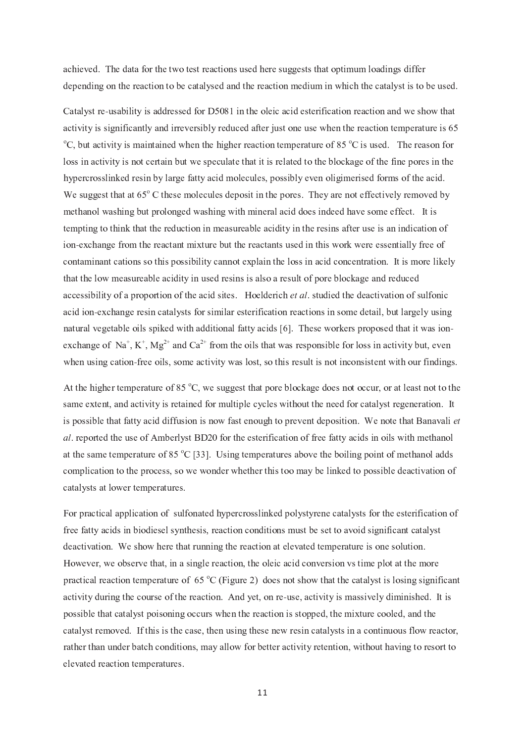achieved. The data for the two test reactions used here suggests that optimum loadings differ depending on the reaction to be catalysed and the reaction medium in which the catalyst is to be used.

Catalyst re-usability is addressed for D5081 in the oleic acid esterification reaction and we show tha activity is significantly and irreversibly reduced after just one use when the reaction temperature is 65  $\rm ^{\circ}C$ , but activity is maintained when the higher reaction temperature of 85  $\rm ^{\circ}C$  is used. The reason for loss in activity is not certain but we speculate that it is related to the blockage of the fine pores in the hy percrosslinked resin by large fatty acid molecules, possibly even oligimerised forms of the acid. <sup>ï</sup> <sup>I</sup> <sup>K</sup> <sup>L</sup> ^ ^ <sup>I</sup> <sup>K</sup> <sup>U</sup> <sup>U</sup> <sup>Y</sup> <sup>S</sup> <sup>U</sup> <sup>S</sup> <sup>U</sup> <sup>g</sup> <sup>Å</sup> <sup>k</sup> <sup>U</sup> <sup>Y</sup> <sup>I</sup> <sup>K</sup> <sup>I</sup> ] <sup>O</sup> <sup>M</sup> <sup>I</sup> <sup>R</sup> <sup>L</sup> <sup>M</sup> <sup>I</sup> <sup>K</sup> <sup>T</sup> <sup>I</sup> <sup>W</sup> <sup>O</sup> <sup>K</sup> <sup>Q</sup> <sup>U</sup> <sup>Q</sup> <sup>P</sup> <sup>U</sup> <sup>Y</sup> <sup>I</sup> <sup>W</sup> <sup>O</sup> <sup>X</sup> <sup>I</sup> <sup>K</sup> ` <sup>a</sup> <sup>Y</sup> <sup>I</sup> <sup>V</sup> <sup>S</sup> <sup>X</sup> <sup>I</sup> <sup>P</sup> <sup>O</sup> <sup>U</sup> <sup>I</sup> <sup>N</sup> <sup>N</sup> <sup>I</sup> <sup>R</sup> <sup>U</sup> <sup>Q</sup> [ <sup>I</sup> <sup>M</sup> <sup>V</sup> <sup>X</sup> <sup>I</sup> ] <sup>O</sup> [ <sup>I</sup> <sup>T</sup> \ <sup>V</sup> methanol washing but prolonged washing with mineral acid does indeed have some effect. It is tempting to think that the reduction in measureable acidity in the resins after use is an indication of ion-exchange from the reactant mixture but the reactants used in this work were essentially free o contaminant cations so this possibility cannot explain the loss in acid concentration. It is more likely that the low measureable acidity in used resins is also a result of pore blockage and reduced <sup>S</sup> <sup>R</sup> <sup>R</sup> <sup>I</sup> <sup>K</sup> <sup>K</sup> <sup>Q</sup> \ <sup>Q</sup> <sup>M</sup> <sup>Q</sup> <sup>U</sup> <sup>V</sup> <sup>O</sup> <sup>N</sup> <sup>S</sup> <sup>W</sup> <sup>X</sup> <sup>O</sup> <sup>W</sup> <sup>O</sup> <sup>X</sup> <sup>U</sup> <sup>Q</sup> <sup>O</sup> <sup>P</sup> <sup>O</sup> <sup>N</sup> <sup>U</sup> <sup>Y</sup> <sup>I</sup> <sup>S</sup> <sup>R</sup> <sup>Q</sup> <sup>T</sup> <sup>K</sup> <sup>Q</sup> <sup>U</sup> <sup>I</sup> <sup>K</sup> ` ¦ <sup>O</sup> <sup>I</sup> <sup>M</sup> <sup>T</sup> <sup>I</sup> <sup>X</sup> <sup>Q</sup> <sup>R</sup> <sup>Y</sup> <sup>¬</sup> <sup>º</sup> <sup>¹</sup> <sup>½</sup> ` <sup>K</sup> <sup>U</sup> <sup>L</sup> <sup>T</sup> <sup>Q</sup> <sup>I</sup> <sup>T</sup> <sup>U</sup> <sup>Y</sup> <sup>I</sup> <sup>T</sup> <sup>I</sup> <sup>S</sup> <sup>R</sup> <sup>U</sup> <sup>Q</sup> [ <sup>S</sup> <sup>U</sup> <sup>Q</sup> <sup>O</sup> <sup>P</sup> <sup>O</sup> <sup>N</sup> <sup>K</sup> <sup>L</sup> <sup>M</sup> <sup>N</sup> <sup>O</sup> <sup>P</sup> <sup>Q</sup> <sup>R</sup> acid ion-exchange resin catalysts for similar esterification reactions in some detail, but largely usin natural vegetable oils spiked with additional fatty acids [6]. These workers proposed that it was ion exchange of Na<sup>+</sup>, K<sup>+</sup>, Mg<sup>2+</sup> and Ca<sup>2+</sup> from the oils that was responsible for loss in activity but, even when using cation-free oils, some activity was lost, so this result is not inconsistent with our findings

At the higher temperature of 85  $\degree$ C, we suggest that pore blockage does not occur, or at least not to the same extent, and activity is retained for multiple cycles without the need for catalyst regeneration. It is possible that fatty acid diffusion is now fast enough to prevent deposition. We note that Banavali  $et$ <sup>¹</sup> <sup>½</sup> ` <sup>X</sup> <sup>I</sup> <sup>W</sup> <sup>O</sup> <sup>X</sup> <sup>U</sup> <sup>I</sup> <sup>T</sup> <sup>U</sup> <sup>Y</sup> <sup>I</sup> <sup>L</sup> <sup>K</sup> <sup>I</sup> <sup>O</sup> <sup>N</sup> <sup>e</sup> ] \ <sup>I</sup> <sup>X</sup> <sup>M</sup> <sup>V</sup> <sup>K</sup> <sup>U</sup> ¢ <sup>N</sup> <sup>O</sup> <sup>X</sup> <sup>U</sup> <sup>Y</sup> <sup>I</sup> <sup>I</sup> <sup>K</sup> <sup>U</sup> <sup>I</sup> <sup>X</sup> <sup>Q</sup> <sup>N</sup> <sup>Q</sup> <sup>R</sup> <sup>S</sup> <sup>U</sup> <sup>Q</sup> <sup>O</sup> <sup>P</sup> <sup>O</sup> <sup>N</sup> <sup>N</sup> <sup>X</sup> <sup>I</sup> <sup>I</sup> <sup>N</sup> <sup>S</sup> <sup>U</sup> <sup>U</sup> <sup>V</sup> <sup>S</sup> <sup>R</sup> <sup>Q</sup> <sup>T</sup> <sup>K</sup> <sup>Q</sup> <sup>P</sup> <sup>O</sup> <sup>Q</sup> <sup>M</sup> <sup>K</sup> <sup>J</sup> <sup>Q</sup> <sup>U</sup> <sup>Y</sup> ] <sup>I</sup> <sup>U</sup> <sup>Y</sup> <sup>S</sup> <sup>P</sup> <sup>O</sup> <sup>M</sup> at the same temperature of 85  $^{\circ}$ C [33]. Using temperatures above the boiling point of methanol adds complication to the process, so we wonder whether this too may be linked to possible deactivation of catalysts at lower temperatures.

For practical application of sulfonated hypercrosslinked polystyrene catalysts for the esterification of free fatty acids in biodiesel synthesis, reaction conditions must be set to avoid significant catalyst deactivation. We show here that running the reaction at elevated temperature is one solution. However, we observe that, in a single reaction, the oleic acid conversion vs time plot at the more practical reaction temperature of 65  $^{\circ}$ C (Figure 2) does not show that the catalyst is losing significant activity during the course of the reaction. And yet, on re-use, activity is massively diminished. It i possible that catalyst poisoning occurs when the reaction is stopped, the mixture cooled, and the catalyst removed. If this is the case, then using these new resin catalysts in a continuous flow reactor, rather than under batch conditions, may allow for better activity retention, without having to resort to elevated reaction temperatures.

 $11$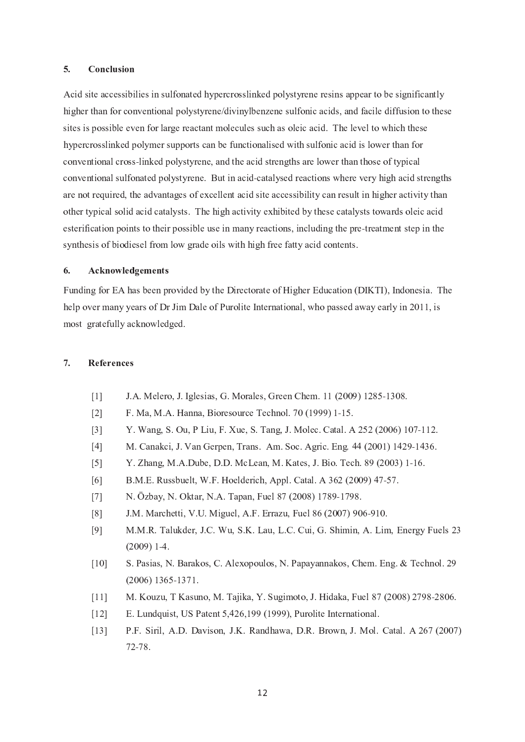#### $5<sub>1</sub>$ Conclusion

Acid site accessibilies in sulfonated hypercrosslinked polystyrene resins appear to be significantly higher than for conventional polystyrene/divinylbenzene sulfonic acids, and facile diffusion to these sites is possible even for large reactant molecules such as oleic acid. The level to which these hy percrosslinked polymer supports can be functionalised with sulfonic acid is lower than for conventional cross-linked polystyrene, and the acid strengths are lower than those of typica conventional sulfonated polystyrene. But in acid-catalysed reactions where very high acid strength are not required, the advantages of excellent acid site accessibility can result in higher activity than other typical solid acid catalysts. The high activity exhibited by these catalysts towards oleic acid esterification points to their possible use in many reactions, including the pre-treatment step in the synthesis of biodiesel from low grade oils with high free fatty acid contents.

### $\bar{z}$  and  $\bar{z}$  and  $\bar{z}$  and  $\bar{z}$  and  $\bar{z}$

Funding for EA has been provided by the Directorate of Higher Education (DIKTI), Indonesia. The help over many years of Dr Jim Dale of Purolite International, who passed away early in 2011, is most gratefully acknowledged.

#### $7.$ **References**

- ومعن ممعن نميس المراد المتحدة المتحدة المتحدة المتحدة المنافسية
- "  $21$  F. Ma, M.A. Hanna, Bioresource Technol,  $70(1999)$  1-15
- $-1$  $31$  Y. Wang, S. Ou, P Liu, F. Xue, S. Tang, J. Molec, Catal, A 252 (2006) 107-112
- -ث القادة المقدمة التي تقادم المقدم المقدم المقدم المقدم المقدم المقدم المقدم المقدم المقدم المقدم المقدم المقد
- " 5] Y. Zhang, M.A.Dube, D.D. McLean, M. Kates, J. Bio. Tech. 89 (2003) 1-16
- $-1$  $61$  B.M.E. Russbuelt, W.F. Hoelderich, Appl. Catal, A  $362$  (2009) 47-57
- " \*71 N. Özbay, N. Oktar, N.A. Tapan, Fuel 87 (2008) 1789-1798
- "  $1. M. Marchetti, V.U. Miguel, A.F. Errazu, Fuel $86 (2007) 906-910$$
- "  $91$  M.M.R. Talukder, J.C. Wu, S.K. Lau, L.C. Cui, G. Shimin, A. Lim. Energy Fuels 2  $\sqrt{2}$   $\sqrt{2}$   $\sqrt{2}$   $\sqrt{2}$   $\sqrt{2}$   $\sqrt{2}$   $\sqrt{2}$   $\sqrt{2}$   $\sqrt{2}$   $\sqrt{2}$   $\sqrt{2}$   $\sqrt{2}$   $\sqrt{2}$   $\sqrt{2}$   $\sqrt{2}$   $\sqrt{2}$   $\sqrt{2}$   $\sqrt{2}$   $\sqrt{2}$   $\sqrt{2}$   $\sqrt{2}$   $\sqrt{2}$   $\sqrt{2}$   $\sqrt{2}$   $\sqrt{2}$   $\sqrt{2}$   $\sqrt{2}$   $\sqrt{2$
- "  $101$  S. Pasias, N. Barakos, C. Alexopoulos, N. Papavannakos, Chem. Eng. & Technol, 2 <sup>3</sup> ! <sup>3</sup> ! \*
- " 111 M. Kouzu, T Kasuno, M. Tajika, Y. Sugimoto, J. Hidaka, Fuel 87 (2008) 2798-2806
- " # <sup>8</sup> <sup>0</sup> undquist. US Patent  $5.426.199$  (1999). Purolite International
- " ! # / \$ - ; ; <sup>I</sup>  = <sup>&</sup>gt; ? <sup>J</sup> ; > &  <sup>J</sup> <sup>2</sup> <sup>3</sup> \* \*  $-$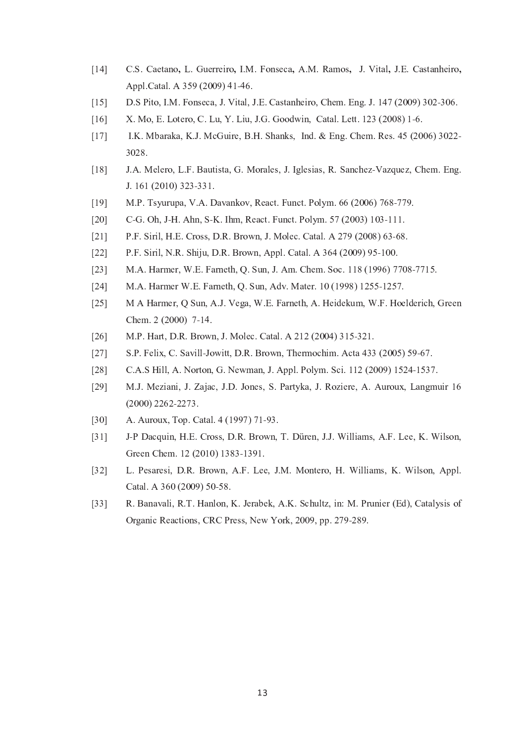- $\lceil 14 \rceil$ C.S. Caetano, L. Guerreiro, I.M. Fonseca, A.M. Ramos, J. Vital, J.E. Castanheiro, Appl.Catal. A 359 (2009) 41-46.
- $[15]$ D.S Pito, I.M. Fonseca, J. Vital, J.E. Castanheiro, Chem. Eng. J. 147 (2009) 302-306.
- X. Mo, E. Lotero, C. Lu, Y. Liu, J.G. Goodwin, Catal. Lett. 123 (2008) 1-6.  $\lceil 16 \rceil$
- $[17]$ I.K. Mbaraka, K.J. McGuire, B.H. Shanks, Ind. & Eng. Chem. Res. 45 (2006) 3022-3028.
- J.A. Melero, L.F. Bautista, G. Morales, J. Iglesias, R. Sanchez-Vazquez, Chem. Eng.  $[18]$ J. 161 (2010) 323-331.
- M.P. Tsyurupa, V.A. Davankov, React. Funct. Polym. 66 (2006) 768-779.  $[19]$
- $[20]$ C-G. Oh, J-H. Ahn, S-K. Ihm, React. Funct. Polym. 57 (2003) 103-111.
- P.F. Siril, H.E. Cross, D.R. Brown, J. Molec. Catal. A 279 (2008) 63-68.  $[21]$
- $[22]$ P.F. Siril, N.R. Shiju, D.R. Brown, Appl. Catal. A 364 (2009) 95-100.
- $[23]$ M.A. Harmer, W.E. Farneth, Q. Sun, J. Am. Chem. Soc. 118 (1996) 7708-7715.
- M.A. Harmer W.E. Farneth, Q. Sun, Adv. Mater. 10 (1998) 1255-1257.  $[24]$
- $[25]$ M A Harmer, Q Sun, A.J. Vega, W.E. Farneth, A. Heidekum, W.F. Hoelderich, Green Chem. 2 (2000) 7-14.
- $[26]$ M.P. Hart, D.R. Brown, J. Molec. Catal. A 212 (2004) 315-321.
- $[27]$ S.P. Felix, C. Savill-Jowitt, D.R. Brown, Thermochim. Acta 433 (2005) 59-67.
- $[28]$ C.A.S Hill, A. Norton, G. Newman, J. Appl. Polym. Sci. 112 (2009) 1524-1537.
- $[29]$ M.J. Meziani, J. Zajac, J.D. Jones, S. Partyka, J. Roziere, A. Auroux, Langmuir 16  $(2000)$  2262-2273.
- A. Auroux, Top. Catal. 4 (1997) 71-93.  $[30]$
- J-P Dacquin, H.E. Cross, D.R. Brown, T. Düren, J.J. Williams, A.F. Lee, K. Wilson,  $[31]$ Green Chem. 12 (2010) 1383-1391.
- L. Pesaresi, D.R. Brown, A.F. Lee, J.M. Montero, H. Williams, K. Wilson, Appl.  $[32]$ Catal. A 360 (2009) 50-58.
- $[33]$ R. Banavali, R.T. Hanlon, K. Jerabek, A.K. Schultz, in: M. Prunier (Ed), Catalysis of Organic Reactions, CRC Press, New York, 2009, pp. 279-289.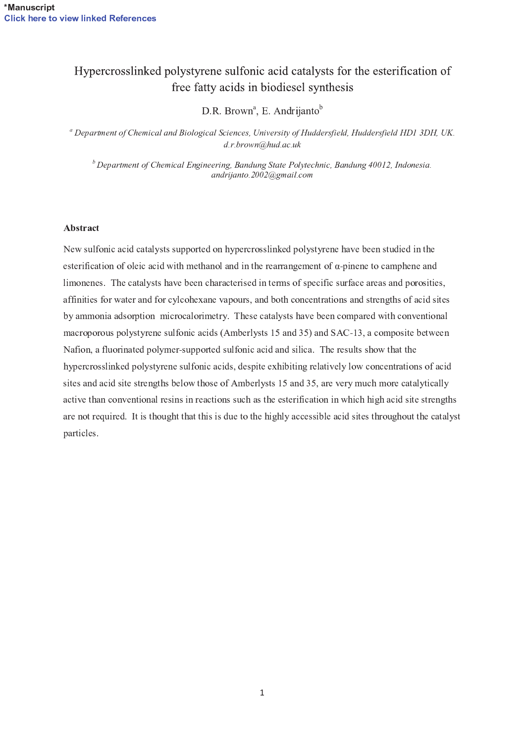## Hypercrosslinked polystyrene sulfonic acid catalysts for the esterification of free fatty acids in biodiesel synthesis

D.R. Brown<sup>a</sup>, E. Andrijanto<sup>b</sup>

<sup>a</sup> Department of Chemical and Biological Sciences, University of Huddersfield, Huddersfield HD1 3DH, UK.  $d.r.brown$ @hud.ac.uk

 $b$  Department of Chemical Engineering, Bandung State Polytechnic, Bandung 40012, Indonesia. andrijanto.2002@gmail.com

### Abstract

New sulfonic acid catalysts supported on hypercrosslinked polystyrene have been studied in the esterification of oleic acid with methanol and in the rearrangement of  $\alpha$ -pinene to camphene and limonenes. The catalysts have been characterised in terms of specific surface areas and porosities, affinities for water and for cylcohexane vapours, and both concentrations and strengths of acid sites by ammonia adsorption microcalorimetry. These catalysts have been compared with conventional macroporous polystyrene sulfonic acids (Amberlysts 15 and 35) and SAC-13, a composite between Nafion, a fluorinated polymer-supported sulfonic acid and silica. The results show that the hypercrosslinked polystyrene sulfonic acids, despite exhibiting relatively low concentrations of acid sites and acid site strengths below those of Amberlysts 15 and 35, are very much more catalytically active than conventional resins in reactions such as the esterification in which high acid site strengths are not required. It is thought that this is due to the highly accessible acid sites throughout the catalyst particles.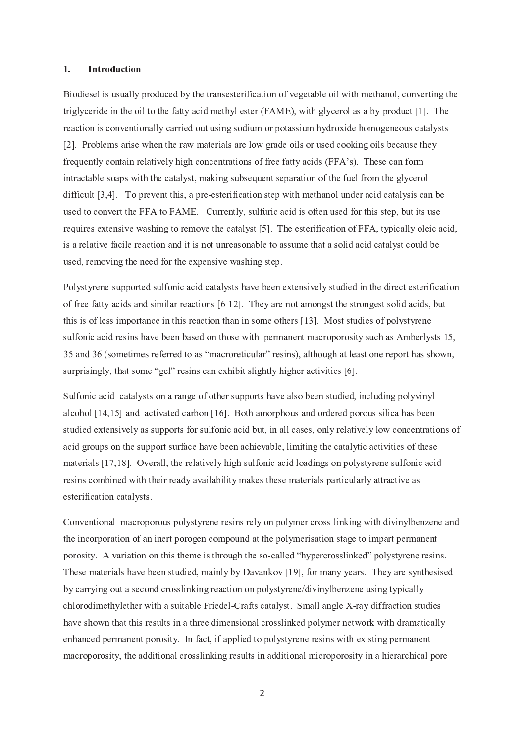#### ®Introduction

Biodiesel is usually produced by the transesterification of vegetable oil with methanol, converting the triglyceride in the oil to the fatty acid methyl ester (FAME), with glycerol as a by-product [1]. The reaction is conventionally carried out using sodium or potassium hydroxide homogeneous catalyst [2]. Problems arise when the raw materials are low grade oils or used cooking oils because the frequently contain relatively high concentrations of free fatty acids (FFA's). These can for intractable soaps with the catalyst, making subsequent separation of the fuel from the glycerol difficult [3.4]. To prevent this, a pre-esterification step with methanol under acid catalysis can be used to convert the FFA to FAME. Currently, sulfuric acid is often used for this step, but its us requires extensive washing to remove the catalyst  $[5]$ . The esterification of FFA, typically oleic acid is a relative facile reaction and it is not unreasonable to assume that a solid acid catalyst could b used, removing the need for the expensive washing step.

Polystyrene-supported sulfonic acid catalysts have been extensively studied in the direct esterificatio of free fatty acids and similar reactions  $[6-12]$ . They are not amongst the strongest solid acids, bu this is of less importance in this reaction than in some others [13]. Most studies of polystyrenct sulfonic acid resins have been based on those with permanent macroporosity such as Amberlysts 15 35 and 36 (sometimes referred to as "macroreticular" resins), although at least one report has shown, surprisingly, that some "gel" resins can exhibit slightly higher activities [6]

Sulfonic acid catalysts on a range of other supports have also been studied, including polyviny alcohol  $[14.15]$  and activated carbon  $[16]$ . Both amorphous and ordered porous silica has bee studied extensively as supports for sulfonic acid but, in all cases, only relatively low concentrations o acid groups on the support surface have been achievable. limiting the catalytic activities of these materials  $[17.18]$ . Overall, the relatively high sulfonic acid loadings on polystyrene sulfonic aci resins combined with their ready availability makes these materials particularly attractive a <sup>2</sup> <sup>Q</sup> ( <sup>2</sup>  ( <sup>2</sup> <sup>C</sup> <sup>2</sup>

Conventional macroporous polystyrene resins rely on polymer cross-linking with divinylbenzene and the incorporation of an inert porogen compound at the polymerisation stage to impart permanen porosity. A variation on this theme is through the so-called "hypercrosslinked" polystyrene resins These materials have been studied, mainly by Davankov [19], for many vears. They are synthesise by carrying out a second crosslinking reaction on polystyrene/divinylbenzene using typicall chlorodimethylether with a suitable Friedel-Crafts catalyst. Small angle X-ray diffraction studie have shown that this results in a three dimensional crosslinked polymer network with dramaticall  $\mathcal{A}$  and the contract of the contract of the contract of the contract of the contract of the contract of the contract of the contract of the contract of the contract of the contract of the contract of the contract of macroporosity, the additional crosslinking results in additional microporosity in a hierarchical por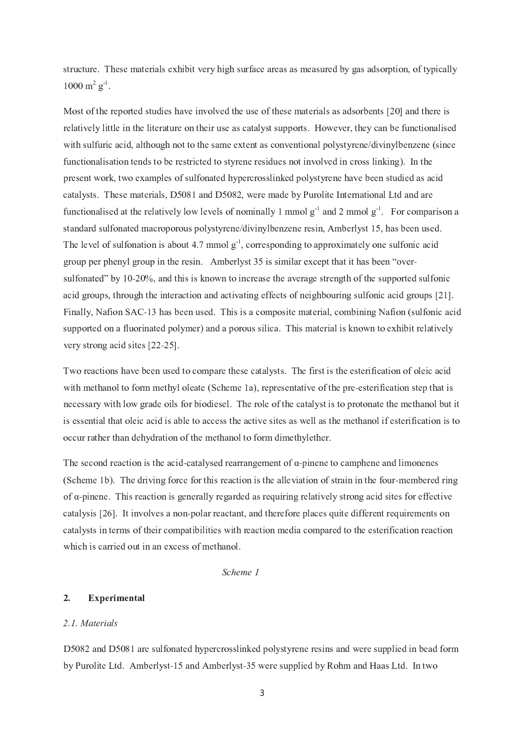structure. These materials exhibit very high surface areas as measured by gas adsorption, of typicall ¸ <sup>¹</sup> <sup>º</sup>

Most of the reported studies have involved the use of these materials as adsorbents [20] and there is relatively little in the literature on their use as catalyst supports. However, they can be functionalise with sulfuric acid, although not to the same extent as conventional polystyrene/divinylbenzene (since functionalisation tends to be restricted to styrene residues not involved in cross linking). In the present work, two examples of sulfonated hypercrosslinked polystyrene have been studied as acicatalysts. These materials,  $D5081$  and  $D5082$ , were made by Purolite International Ltd and are functionalised at the relatively low levels of nominally 1 mmol  $g^+$  and 2 mmol  $g^+$ . For comparison standard sulfonated macroporous polystyrene/divinylbenzene resin. Amberlyst 15, has been used The level of sulfonation is about 4.7 mmol  $g^{\perp}$ , corresponding to approximately one sulfonic acigroup per phenyl group in the resin. Amberlyst 35 is similar except that it has been "over sulfonated" by 10-20%, and this is known to increase the average strength of the supported sulfoni acid groups, through the interaction and activating effects of neighbouring sulfonic acid groups [21] Finally, Nafion SAC-13 has been used. This is a composite material, combining Nafion (sulfonic aci supported on a fluorinated polymer) and a porous silica. This material is known to exhibit relativel I <sup>C</sup> <sup>2</sup>  ( ? <sup>2</sup> " #

Two reactions have been used to compare these catalysts. The first is the esterification of oleic aci J <sup>2</sup> <sup>2</sup> <sup>2</sup> <sup>Q</sup> <sup>2</sup> <sup>C</sup> <sup>2</sup> - ( <sup>7</sup> <sup>2</sup> <sup>2</sup> <sup>I</sup> <sup>Q</sup> <sup>2</sup> <sup>7</sup> <sup>2</sup> <sup>Q</sup> ( <sup>2</sup> <sup>2</sup> <sup>7</sup> <sup>2</sup> <sup>2</sup> necessary with low grade oils for biodiesel. The role of the catalyst is to protonate the methanol but i <sup>2</sup> <sup>2</sup> <sup>2</sup>  ( ( ? <sup>&</sup>lt; <sup>2</sup>  ( ( <sup>2</sup> ( <sup>2</sup> <sup>I</sup> <sup>2</sup> <sup>J</sup> <sup>2</sup> <sup>2</sup> <sup>Q</sup> <sup>2</sup> <sup>Q</sup> ( <sup>2</sup> <sup>2</sup> occur rather than dehydration of the methanol to form dimethylether

The second reaction is the acid-catalysed rearrangement of  $\alpha$ -pinene to camphene and limonene (Scheme 1b). The driving force for this reaction is the alleviation of strain in the four-membered rin of α-pinene. This reaction is generally regarded as requiring relatively strong acid sites for effective catalysis [26]. It involves a non-polar reactant, and therefore places quite different requirements o ( <sup>2</sup> <sup>C</sup> <sup>2</sup> <sup>2</sup> <sup>Q</sup> <sup>2</sup> (  <sup>7</sup> <sup>2</sup> <sup>&</sup>lt; <sup>2</sup> <sup>J</sup> <sup>2</sup> ( <sup>2</sup>  ? (  <sup>7</sup> ? <sup>2</sup> <sup>2</sup> <sup>2</sup> <sup>Q</sup> ( <sup>2</sup>  ( <sup>2</sup> which is carried out in an excess of methanol

 $\sim$   $\sim$   $\sim$   $\sim$ 

#### $2.$ Experimental

### – – – – –

 $D5082$  and  $D5081$  are sulfonated hypercrosslinked polystyrene resins and were supplied in bead for by Purolite Ltd. Amberlyst-15 and Amberlyst-35 were supplied by Rohm and Haas Ltd. In tw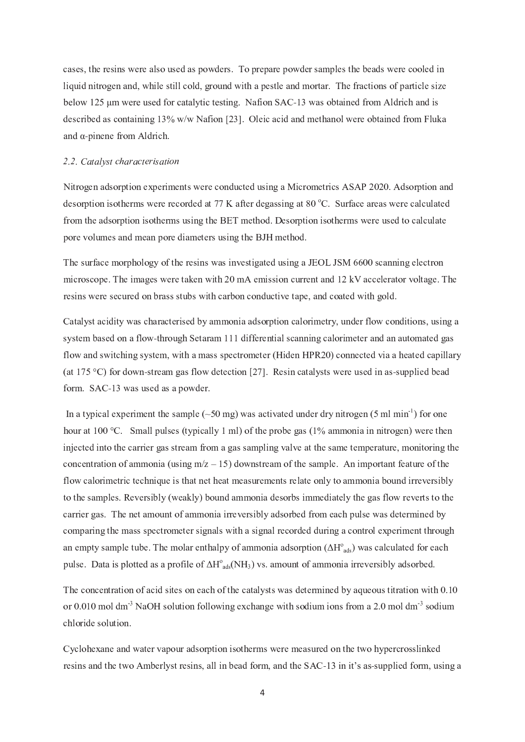cases, the resins were also used as powders. To prepare powder samples the beads were cooled in liquid nitrogen and, while still cold, ground with a pestle and mortar. The fractions of particle size below 125 µm were used for catalytic testing. Nafion SAC-13 was obtained from Aldrich and is described as containing 13% w/w Nafion [23]. Oleic acid and methanol were obtained from Fluka and  $\alpha$ -pinene from Aldrich.

### 2.2. Catalyst characterisation

Nitrogen adsorption experiments were conducted using a Micrometrics ASAP 2020. Adsorption and desorption isotherms were recorded at 77 K after degassing at 80 °C. Surface areas were calculated from the adsorption isotherms using the BET method. Desorption isotherms were used to calculate pore volumes and mean pore diameters using the BJH method.

The surface morphology of the resins was investigated using a JEOL JSM 6600 scanning electron microscope. The images were taken with 20 mA emission current and 12 kV accelerator voltage. The resins were secured on brass stubs with carbon conductive tape, and coated with gold.

Catalyst acidity was characterised by ammonia adsorption calorimetry, under flow conditions, using a system based on a flow-through Setaram 111 differential scanning calorimeter and an automated gas flow and switching system, with a mass spectrometer (Hiden HPR20) connected via a heated capillary (at 175 °C) for down-stream gas flow detection [27]. Resin catalysts were used in as-supplied bead form. SAC-13 was used as a powder.

In a typical experiment the sample ( $\sim$ 50 mg) was activated under dry nitrogen (5 ml min<sup>-1</sup>) for one hour at 100 °C. Small pulses (typically 1 ml) of the probe gas (1% ammonia in nitrogen) were then injected into the carrier gas stream from a gas sampling valve at the same temperature, monitoring the concentration of ammonia (using  $m/z - 15$ ) downstream of the sample. An important feature of the flow calorimetric technique is that net heat measurements relate only to ammonia bound irreversibly to the samples. Reversibly (weakly) bound ammonia desorbs immediately the gas flow reverts to the carrier gas. The net amount of ammonia irreversibly adsorbed from each pulse was determined by comparing the mass spectrometer signals with a signal recorded during a control experiment through an empty sample tube. The molar enthalpy of ammonia adsorption  $(\Delta H^{\circ}_{ads})$  was calculated for each pulse. Data is plotted as a profile of  $\Delta H^{\circ}_{ads}(NH_3)$  vs. amount of ammonia irreversibly adsorbed.

The concentration of acid sites on each of the catalysts was determined by aqueous titration with 0.10 or 0.010 mol dm<sup>-3</sup> NaOH solution following exchange with sodium ions from a 2.0 mol dm<sup>-3</sup> sodium chloride solution.

Cyclohexane and water vapour adsorption isotherms were measured on the two hypercrosslinked resins and the two Amberlyst resins, all in bead form, and the SAC-13 in it's as-supplied form, using a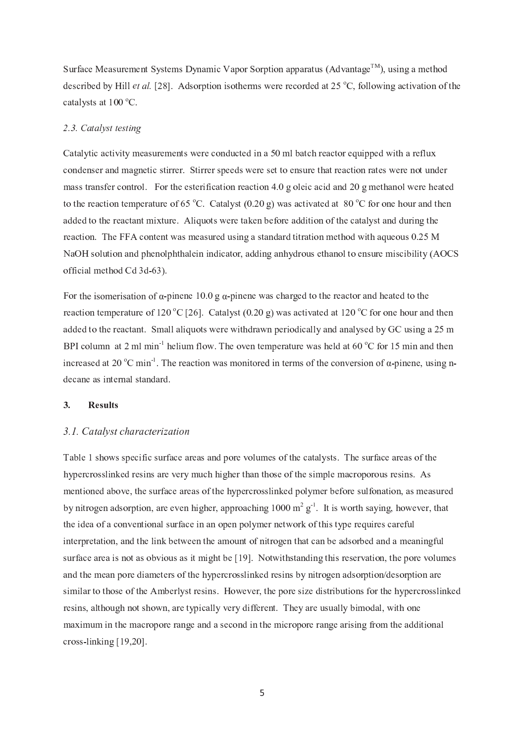Surface Measurement Systems Dynamic Vapor Sorption apparatus (Advantage™), using a method described by Hill *et al.* [28]. Adsorption isotherms were recorded at 25  $^{\circ}$ C, following activation of the catalysts at 100 °C.

### 2.3. Catalyst testing

Catalytic activity measurements were conducted in a 50 ml batch reactor equipped with a reflux condenser and magnetic stirrer. Stirrer speeds were set to ensure that reaction rates were not under mass transfer control. For the esterification reaction 4.0 g oleic acid and 20 g methanol were heated to the reaction temperature of 65 °C. Catalyst (0.20 g) was activated at 80 °C for one hour and then added to the reactant mixture. Aliquots were taken before addition of the catalyst and during the reaction. The FFA content was measured using a standard titration method with aqueous 0.25 M NaOH solution and phenolphthalein indicator, adding anhydrous ethanol to ensure miscibility (AOCS official method Cd 3d-63).

For the isomerisation of  $\alpha$ -pinene 10.0 g  $\alpha$ -pinene was charged to the reactor and heated to the reaction temperature of 120 °C [26]. Catalyst (0.20 g) was activated at 120 °C for one hour and then added to the reactant. Small aliquots were withdrawn periodically and analysed by GC using a 25 m BPI column at 2 ml min<sup>-1</sup> helium flow. The oven temperature was held at 60 °C for 15 min and then increased at 20  $^{\circ}$ C min<sup>-1</sup>. The reaction was monitored in terms of the conversion of  $\alpha$ -pinene, using ndecane as internal standard.

#### $3.$ **Results**

### 3.1. Catalyst characterization

Table 1 shows specific surface areas and pore volumes of the catalysts. The surface areas of the hypercrosslinked resins are very much higher than those of the simple macroporous resins. As mentioned above, the surface areas of the hypercrosslinked polymer before sulfonation, as measured by nitrogen adsorption, are even higher, approaching 1000  $m^2 g^{-1}$ . It is worth saying, however, that the idea of a conventional surface in an open polymer network of this type requires careful interpretation, and the link between the amount of nitrogen that can be adsorbed and a meaningful surface area is not as obvious as it might be [19]. Notwithstanding this reservation, the pore volumes and the mean pore diameters of the hypercrosslinked resins by nitrogen adsorption/desorption are similar to those of the Amberlyst resins. However, the pore size distributions for the hypercrosslinked resins, although not shown, are typically very different. They are usually bimodal, with one maximum in the macropore range and a second in the micropore range arising from the additional cross-linking  $[19,20]$ .

5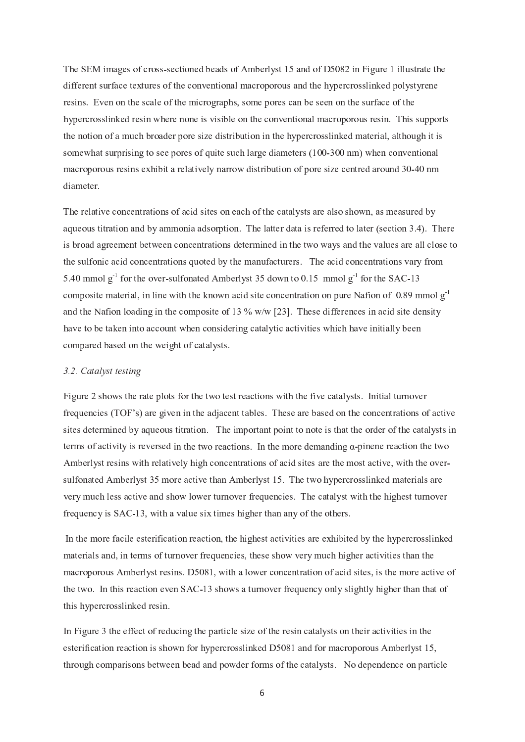The SEM images of cross-sectioned beads of Amberlyst 15 and of D5082 in Figure 1 illustrate the different surface textures of the conventional macroporous and the hypercrosslinked polystyrene resins. Even on the scale of the micrographs, some pores can be seen on the surface of the hypercrosslinked resin where none is visible on the conventional macroporous resin. This supports the notion of a much broader pore size distribution in the hypercrosslinked material, although it is somewhat surprising to see pores of quite such large diameters (100-300 nm) when conventional macroporous resins exhibit a relatively narrow distribution of pore size centred around 30-40 nm diameter.

The relative concentrations of acid sites on each of the catalysts are also shown, as measured by aqueous titration and by ammonia adsorption. The latter data is referred to later (section 3.4). There is broad agreement between concentrations determined in the two ways and the values are all close to the sulfonic acid concentrations quoted by the manufacturers. The acid concentrations vary from 5.40 mmol  $g^{-1}$  for the over-sulfonated Amberlyst 35 down to 0.15 mmol  $g^{-1}$  for the SAC-13 composite material, in line with the known acid site concentration on pure Nafion of 0.89 mmol  $g<sup>-1</sup>$ and the Nafion loading in the composite of 13  $\%$  w/w [23]. These differences in acid site density have to be taken into account when considering catalytic activities which have initially been compared based on the weight of catalysts.

### 3.2. Catalyst testing

Figure 2 shows the rate plots for the two test reactions with the five catalysts. Initial turnover frequencies (TOF's) are given in the adjacent tables. These are based on the concentrations of active sites determined by aqueous titration. The important point to note is that the order of the catalysts in terms of activity is reversed in the two reactions. In the more demanding  $\alpha$ -pinene reaction the two Amberlyst resins with relatively high concentrations of acid sites are the most active, with the oversulfonated Amberlyst 35 more active than Amberlyst 15. The two hypercrosslinked materials are very much less active and show lower turnover frequencies. The catalyst with the highest turnover frequency is SAC-13, with a value six times higher than any of the others.

In the more facile esterification reaction, the highest activities are exhibited by the hypercrosslinked materials and, in terms of turnover frequencies, these show very much higher activities than the macroporous Amberlyst resins. D5081, with a lower concentration of acid sites, is the more active of the two. In this reaction even SAC-13 shows a turnover frequency only slightly higher than that of this hypercrosslinked resin.

In Figure 3 the effect of reducing the particle size of the resin catalysts on their activities in the esterification reaction is shown for hypercrosslinked D5081 and for macroporous Amberlyst 15, through comparisons between bead and powder forms of the catalysts. No dependence on particle

6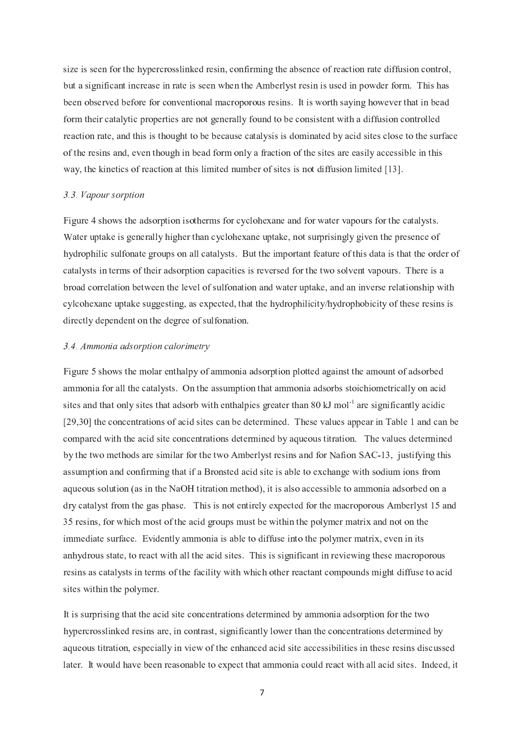size is seen for the hypercrosslinked resin, confirming the absence of reaction rate diffusion control, but a significant increase in rate is seen when the Amberlyst resin is used in powder form. This has been observed before for conventional macroporous resins. It is worth saying however that in bead form their catalytic properties are not generally found to be consistent with a diffusion controlled reaction rate, and this is thought to be because catalysis is dominated by acid sites close to the surface of the resins and, even though in bead form only a fraction of the sites are easily accessible in this way, the kinetics of reaction at this limited number of sites is not diffusion limited [13].

### 3.3. Vapour sorption

Figure 4 shows the adsorption isotherms for cyclohexane and for water vapours for the catalysts. Water uptake is generally higher than cyclohexane uptake, not surprisingly given the presence of hydrophilic sulfonate groups on all catalysts. But the important feature of this data is that the order of catalysts in terms of their adsorption capacities is reversed for the two solvent vapours. There is a broad correlation between the level of sulfonation and water uptake, and an inverse relationship with cylcohexane uptake suggesting, as expected, that the hydrophilicity/hydrophobicity of these resins is directly dependent on the degree of sulfonation.

### 3.4. Ammonia adsorption calorimetry

Figure 5 shows the molar enthalpy of ammonia adsorption plotted against the amount of adsorbed ammonia for all the catalysts. On the assumption that ammonia adsorbs stoichiometrically on acid sites and that only sites that adsorb with enthalpies greater than 80 kJ mol<sup>-1</sup> are significantly acidic [29,30] the concentrations of acid sites can be determined. These values appear in Table 1 and can be compared with the acid site concentrations determined by aqueous titration. The values determined by the two methods are similar for the two Amberlyst resins and for Nafion SAC-13, justifying this assumption and confirming that if a Bronsted acid site is able to exchange with sodium ions from aqueous solution (as in the NaOH titration method), it is also accessible to ammonia adsorbed on a dry catalyst from the gas phase. This is not entirely expected for the macroporous Amberlyst 15 and 35 resins, for which most of the acid groups must be within the polymer matrix and not on the immediate surface. Evidently ammonia is able to diffuse into the polymer matrix, even in its anhydrous state, to react with all the acid sites. This is significant in reviewing these macroporous resins as catalysts in terms of the facility with which other reactant compounds might diffuse to acid sites within the polymer.

It is surprising that the acid site concentrations determined by ammonia adsorption for the two hypercrosslinked resins are, in contrast, significantly lower than the concentrations determined by aqueous titration, especially in view of the enhanced acid site accessibilities in these resins discussed later. It would have been reasonable to expect that ammonia could react with all acid sites. Indeed, it

 $\overline{7}$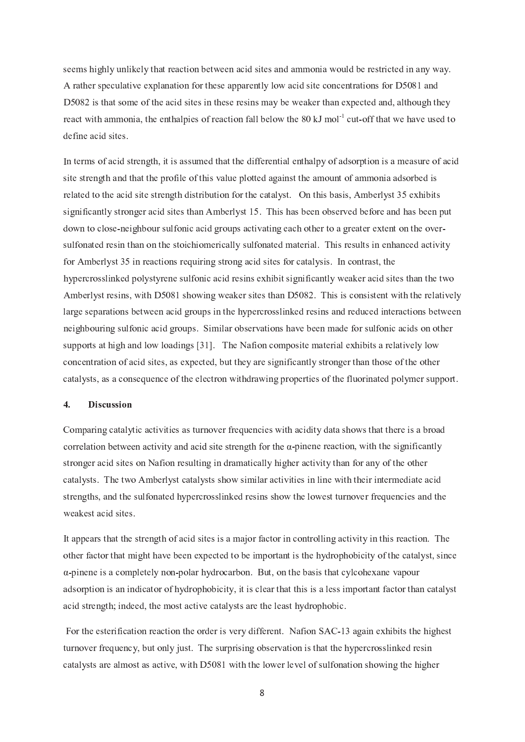seems highly unlikely that reaction between acid sites and ammonia would be restricted in any way. A rather speculative explanation for these apparently low acid site concentrations for D5081 and D5082 is that some of the acid sites in these resins may be weaker than expected and, although they react with ammonia, the enthalpies of reaction fall below the 80 kJ mol<sup>-1</sup> cut-off that we have used to define acid sites.

In terms of acid strength, it is assumed that the differential enthalpy of adsorption is a measure of acid site strength and that the profile of this value plotted against the amount of ammonia adsorbed is related to the acid site strength distribution for the catalyst. On this basis, Amberlyst 35 exhibits significantly stronger acid sites than Amberlyst 15. This has been observed before and has been put down to close-neighbour sulfonic acid groups activating each other to a greater extent on the oversulfonated resin than on the stoichiomerically sulfonated material. This results in enhanced activity for Amberlyst 35 in reactions requiring strong acid sites for catalysis. In contrast, the hypercrosslinked polystyrene sulfonic acid resins exhibit significantly weaker acid sites than the two Amberlyst resins, with D5081 showing weaker sites than D5082. This is consistent with the relatively large separations between acid groups in the hypercrosslinked resins and reduced interactions between neighbouring sulfonic acid groups. Similar observations have been made for sulfonic acids on other supports at high and low loadings [31]. The Nafion composite material exhibits a relatively low concentration of acid sites, as expected, but they are significantly stronger than those of the other catalysts, as a consequence of the electron withdrawing properties of the fluorinated polymer support.

#### $\overline{4}$ . **Discussion**

Comparing catalytic activities as turnover frequencies with acidity data shows that there is a broad correlation between activity and acid site strength for the  $\alpha$ -pinene reaction, with the significantly stronger acid sites on Nafion resulting in dramatically higher activity than for any of the other catalysts. The two Amberlyst catalysts show similar activities in line with their intermediate acid strengths, and the sulfonated hypercrosslinked resins show the lowest turnover frequencies and the weakest acid sites.

It appears that the strength of acid sites is a major factor in controlling activity in this reaction. The other factor that might have been expected to be important is the hydrophobicity of the catalyst, since  $\alpha$ -pinene is a completely non-polar hydrocarbon. But, on the basis that cylcohexane vapour adsorption is an indicator of hydrophobicity, it is clear that this is a less important factor than catalyst acid strength; indeed, the most active catalysts are the least hydrophobic.

For the esterification reaction the order is very different. Nation SAC-13 again exhibits the highest turnover frequency, but only just. The surprising observation is that the hypercrosslinked resin catalysts are almost as active, with D5081 with the lower level of sulfonation showing the higher

8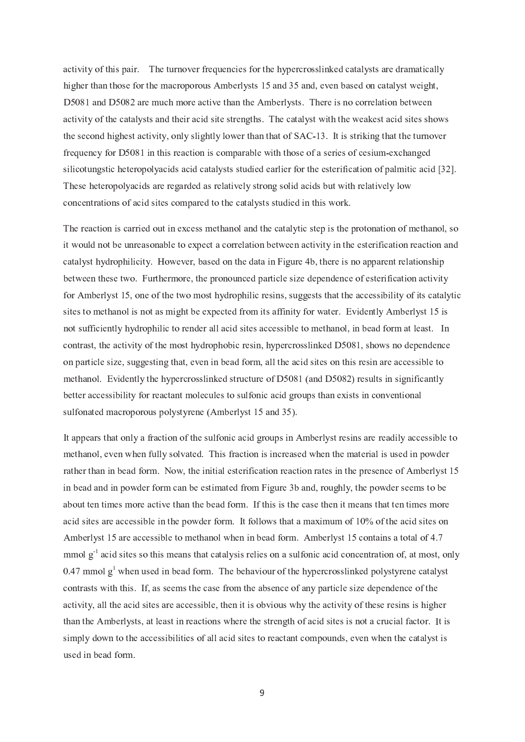activity of this pair. The turnover frequencies for the hypercrosslinked catalysts are dramatically higher than those for the macroporous Amberlysts 15 and 35 and, even based on catalyst weight, D5081 and D5082 are much more active than the Amberlysts. There is no correlation between activity of the catalysts and their acid site strengths. The catalyst with the weakest acid sites shows the second highest activity, only slightly lower than that of SAC-13. It is striking that the turnover frequency for D5081 in this reaction is comparable with those of a series of cesium-exchanged silicotungstic heteropolyacids acid catalysts studied earlier for the esterification of palmitic acid [32]. These heteropolyacids are regarded as relatively strong solid acids but with relatively low concentrations of acid sites compared to the catalysts studied in this work.

The reaction is carried out in excess methanol and the catalytic step is the protonation of methanol, so it would not be unreasonable to expect a correlation between activity in the esterification reaction and catalyst hydrophilicity. However, based on the data in Figure 4b, there is no apparent relationship between these two. Furthermore, the pronounced particle size dependence of esterification activity for Amberlyst 15, one of the two most hydrophilic resins, suggests that the accessibility of its catalytic sites to methanol is not as might be expected from its affinity for water. Evidently Amberlyst 15 is not sufficiently hydrophilic to render all acid sites accessible to methanol, in bead form at least. In contrast, the activity of the most hydrophobic resin, hypercrosslinked D5081, shows no dependence on particle size, suggesting that, even in bead form, all the acid sites on this resin are accessible to methanol. Evidently the hypercrosslinked structure of D5081 (and D5082) results in significantly better accessibility for reactant molecules to sulfonic acid groups than exists in conventional sulfonated macroporous polystyrene (Amberlyst 15 and 35).

It appears that only a fraction of the sulfonic acid groups in Amberlyst resins are readily accessible to methanol, even when fully solvated. This fraction is increased when the material is used in powder rather than in bead form. Now, the initial esterification reaction rates in the presence of Amberlyst 15 in bead and in powder form can be estimated from Figure 3b and, roughly, the powder seems to be about ten times more active than the bead form. If this is the case then it means that ten times more acid sites are accessible in the powder form. It follows that a maximum of 10% of the acid sites on Amberlyst 15 are accessible to methanol when in bead form. Amberlyst 15 contains a total of 4.7 mmol  $g<sup>-1</sup>$  acid sites so this means that catalysis relies on a sulfonic acid concentration of, at most, only 0.47 mmol  $g<sup>1</sup>$  when used in bead form. The behaviour of the hypercrosslinked polystyrene catalyst contrasts with this. If, as seems the case from the absence of any particle size dependence of the activity, all the acid sites are accessible, then it is obvious why the activity of these resins is higher than the Amberlysts, at least in reactions where the strength of acid sites is not a crucial factor. It is simply down to the accessibilities of all acid sites to reactant compounds, even when the catalyst is used in bead form.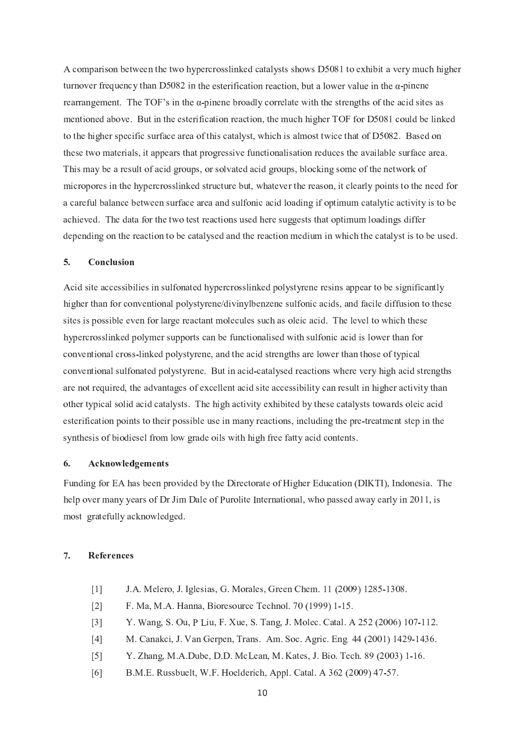A comparison between the two hypercrosslinked catalysts shows D5081 to exhibit a very much higher turnover frequency than D5082 in the esterification reaction, but a lower value in the  $\alpha$ -pinene rearrangement. The TOF's in the  $\alpha$ -pinene broadly correlate with the strengths of the acid sites as mentioned above. But in the esterification reaction, the much higher TOF for D5081 could be linked to the higher specific surface area of this catalyst, which is almost twice that of D5082. Based on these two materials, it appears that progressive functionalisation reduces the available surface area. This may be a result of acid groups, or solvated acid groups, blocking some of the network of micropores in the hypercrosslinked structure but, whatever the reason, it clearly points to the need for a careful balance between surface area and sulfonic acid loading if optimum catalytic activity is to be achieved. The data for the two test reactions used here suggests that optimum loadings differ depending on the reaction to be catalysed and the reaction medium in which the catalyst is to be used.

#### $5.$ Conclusion

Acid site accessibilies in sulfonated hypercrosslinked polystyrene resins appear to be significantly higher than for conventional polystyrene/divinylbenzene sulfonic acids, and facile diffusion to these sites is possible even for large reactant molecules such as oleic acid. The level to which these hypercrosslinked polymer supports can be functionalised with sulfonic acid is lower than for conventional cross-linked polystyrene, and the acid strengths are lower than those of typical conventional sulfonated polystyrene. But in acid-catalysed reactions where very high acid strengths are not required, the advantages of excellent acid site accessibility can result in higher activity than other typical solid acid catalysts. The high activity exhibited by these catalysts towards oleic acid esterification points to their possible use in many reactions, including the pre-treatment step in the synthesis of biodiesel from low grade oils with high free fatty acid contents.

#### 6. Acknowledgements

Funding for EA has been provided by the Directorate of Higher Education (DIKTI), Indonesia. The help over many years of Dr Jim Dale of Purolite International, who passed away early in 2011, is most gratefully acknowledged.

#### $\overline{7}$ . **References**

- J.A. Melero, J. Iglesias, G. Morales, Green Chem. 11 (2009) 1285-1308.  $\lceil 1 \rceil$
- F. Ma, M.A. Hanna, Bioresource Technol. 70 (1999) 1-15.  $\lceil 2 \rceil$
- Y. Wang, S. Ou, P Liu, F. Xue, S. Tang, J. Molec. Catal. A 252 (2006) 107-112.  $[3]$
- M. Canakci, J. Van Gerpen, Trans. Am. Soc. Agric. Eng. 44 (2001) 1429-1436.  $\lceil 4 \rceil$
- Y. Zhang, M.A.Dube, D.D. McLean, M. Kates, J. Bio. Tech. 89 (2003) 1-16.  $\lceil 5 \rceil$
- B.M.E. Russbuelt, W.F. Hoelderich, Appl. Catal. A 362 (2009) 47-57.  $[6]$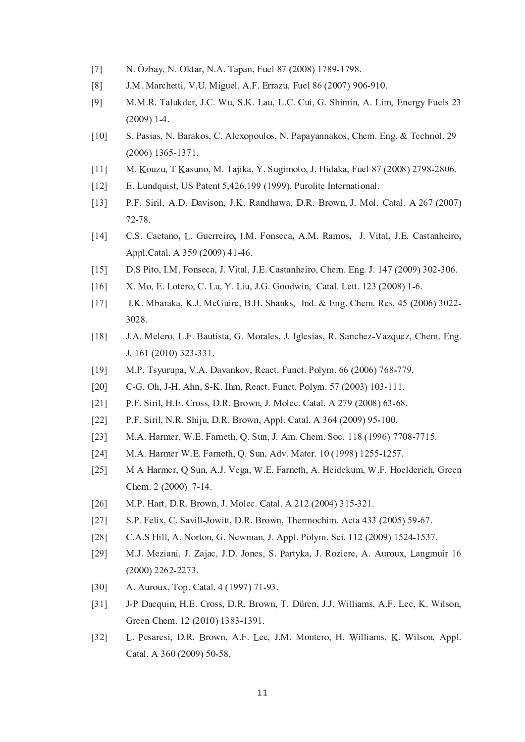- $[7]$ N. Özbay, N. Oktar, N.A. Tapan, Fuel 87 (2008) 1789-1798.
- $\lceil 8 \rceil$ J.M. Marchetti, V.U. Miguel, A.F. Errazu, Fuel 86 (2007) 906-910.
- $[9]$ M.M.R. Talukder, J.C. Wu, S.K. Lau, L.C. Cui, G. Shimin, A. Lim, Energy Fuels 23  $(2009)$  1-4.
- $[10]$ S. Pasias, N. Barakos, C. Alexopoulos, N. Papayannakos, Chem. Eng. & Technol. 29  $(2006)$  1365-1371.
- M. Kouzu, T Kasuno, M. Tajika, Y. Sugimoto, J. Hidaka, Fuel 87 (2008) 2798-2806.  $[11]$
- E. Lundquist, US Patent 5,426,199 (1999), Purolite International.  $[12]$
- $[13]$ P.F. Siril, A.D. Davison, J.K. Randhawa, D.R. Brown, J. Mol. Catal. A 267 (2007) 72-78.
- $[14]$ C.S. Caetano, L. Guerreiro, I.M. Fonseca, A.M. Ramos, J. Vital, J.E. Castanheiro, Appl.Catal. A 359 (2009) 41-46.
- D.S Pito, I.M. Fonseca, J. Vital, J.E. Castanheiro, Chem. Eng. J. 147 (2009) 302-306.  $[15]$
- X. Mo. E. Lotero, C. Lu. Y. Liu. J.G. Goodwin, Catal. Lett. 123 (2008) 1-6.  $[16]$
- I.K. Mbaraka, K.J. McGuire, B.H. Shanks, Ind. & Eng. Chem. Res. 45 (2006) 3022- $[17]$ 3028.
- J.A. Melero, L.F. Bautista, G. Morales, J. Iglesias, R. Sanchez-Vazquez, Chem. Eng.  $[18]$ J. 161 (2010) 323-331.
- $[19]$ M.P. Tsyurupa, V.A. Davankov, React. Funct. Polym. 66 (2006) 768-779.
- $[20]$ C-G. Oh, J-H. Ahn, S-K. Ihm, React. Funct. Polym. 57 (2003) 103-111.
- P.F. Siril, H.E. Cross, D.R. Brown, J. Molec. Catal. A 279 (2008) 63-68.  $[21]$
- P.F. Siril, N.R. Shiju, D.R. Brown, Appl. Catal. A 364 (2009) 95-100.  $[22]$
- M.A. Harmer, W.E. Farneth, Q. Sun, J. Am. Chem. Soc. 118 (1996) 7708-7715.  $[23]$
- M.A. Harmer W.E. Farneth, Q. Sun, Adv. Mater. 10 (1998) 1255-1257.  $[24]$
- M A Harmer, O Sun, A.J. Vega, W.E. Farneth, A. Heidekum, W.F. Hoelderich, Green  $[25]$ Chem. 2 (2000) 7-14.
- $[26]$ M.P. Hart, D.R. Brown, J. Molec. Catal. A 212 (2004) 315-321.
- S.P. Felix, C. Savill-Jowitt, D.R. Brown, Thermochim. Acta 433 (2005) 59-67.  $[27]$
- C.A.S Hill, A. Norton, G. Newman, J. Appl. Polym. Sci. 112 (2009) 1524-1537.  $[28]$
- M.J. Meziani, J. Zajac, J.D. Jones, S. Partyka, J. Roziere, A. Auroux, Langmuir 16  $[29]$  $(2000)$  2262-2273.
- A. Auroux, Top. Catal. 4 (1997) 71-93.  $[30]$
- J-P Dacquin, H.E. Cross, D.R. Brown, T. Düren, J.J. Williams, A.F. Lee, K. Wilson,  $[31]$ Green Chem. 12 (2010) 1383-1391.
- L. Pesaresi, D.R. Brown, A.F. Lee, J.M. Montero, H. Williams, K. Wilson, Appl.  $[32]$ Catal. A 360 (2009) 50-58.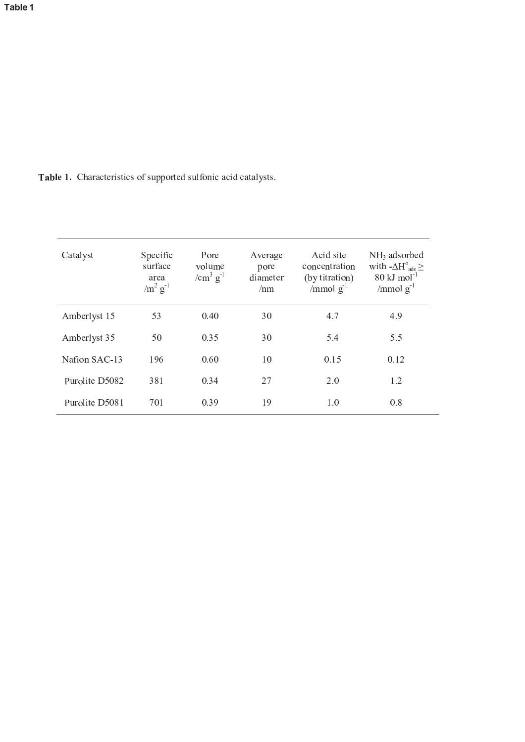Table 1. Characteristics of supported sulfonic acid catalysts.

| Catalyst       | Specific<br>surface<br>area<br>$\sin^2 g^{-1}$ | Pore<br>volume<br>/ $\text{cm}^3$ g <sup>-1</sup> | Average<br>pore<br>diameter<br>/nm | Acid site<br>concentration<br>(by titration)<br>$\gamma$ <sub>mmol</sub> $g^{-1}$ | $NH3$ adsorbed<br>with $-\Delta H^{\circ}_{ads} \ge$<br>$80 \mathrm{kJ} \mathrm{mol}^{-1}$<br>/mmol $g^{-1}$ |
|----------------|------------------------------------------------|---------------------------------------------------|------------------------------------|-----------------------------------------------------------------------------------|--------------------------------------------------------------------------------------------------------------|
| Amberlyst 15   | 53                                             | 0.40                                              | 30                                 | 4.7                                                                               | 4.9                                                                                                          |
| Amberlyst 35   | 50                                             | 0.35                                              | 30                                 | 5.4                                                                               | 5.5                                                                                                          |
| Nafion SAC-13  | 196                                            | 0.60                                              | 10                                 | 0.15                                                                              | 0.12                                                                                                         |
| Purolite D5082 | 381                                            | 0.34                                              | 27                                 | 2.0                                                                               | 1.2                                                                                                          |
| Purolite D5081 | 701                                            | 0.39                                              | 19                                 | 1.0                                                                               | 0.8                                                                                                          |
|                |                                                |                                                   |                                    |                                                                                   |                                                                                                              |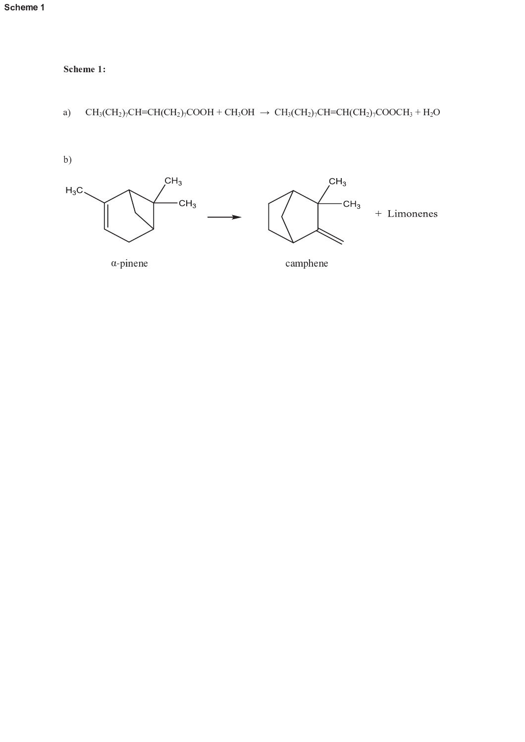```
Scheme 1
```
Scheme 1:

### $\mathrm{CH_3(CH_2)_7CH=CH(CH_2)_7COOH} + \mathrm{CH_3OH} \ \rightarrow \ \mathrm{CH_3(CH_2)_7CH=CH(CH_2)_7COOCH_3} + \mathrm{H_2O}$  $a)$

 $b)$ 



 $\alpha$ -pinene

camphene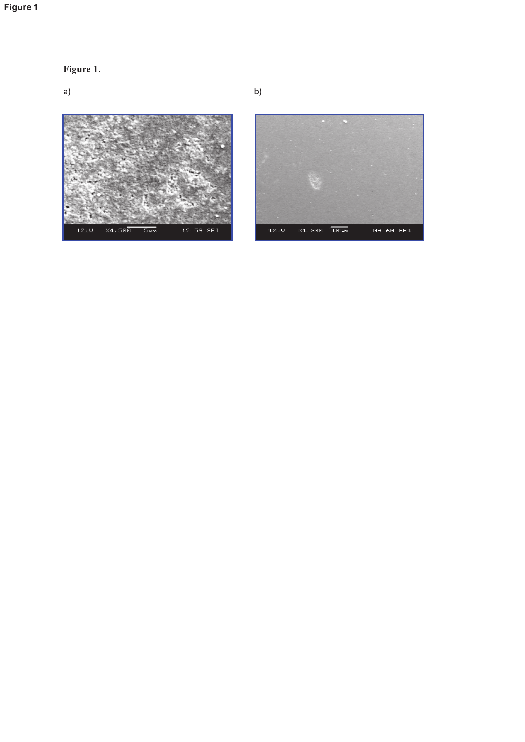# Figure 1

Figure 1.

 $a)$ 

 $\times 4,588$  $12kU$  $5 \mu m$ 12 59 SEI

12kV  $\times 1,388$   $\overline{18\mu m}$ 89 68 SEI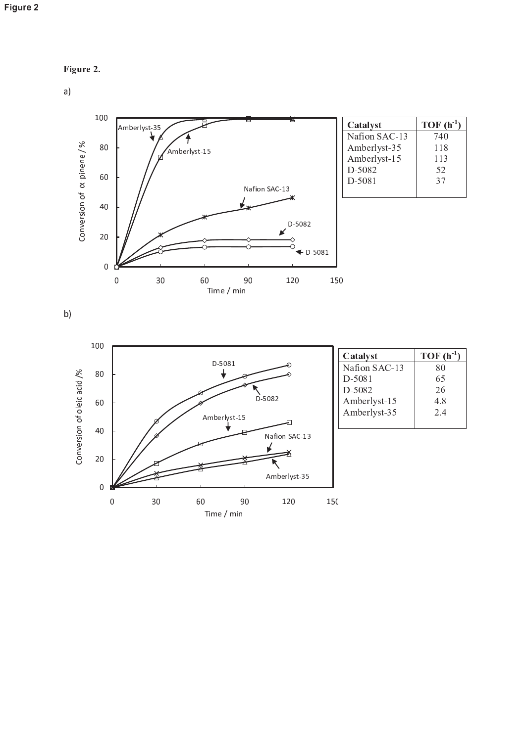

 $a)$ 



| Catalyst      | $TOF(h^{-1})$ |
|---------------|---------------|
| Nafion SAC-13 | 740           |
| Amberlyst-35  | 118           |
| Amberlyst-15  | 113           |
| D-5082        | 52            |
| $D-5081$      | 37            |
|               |               |

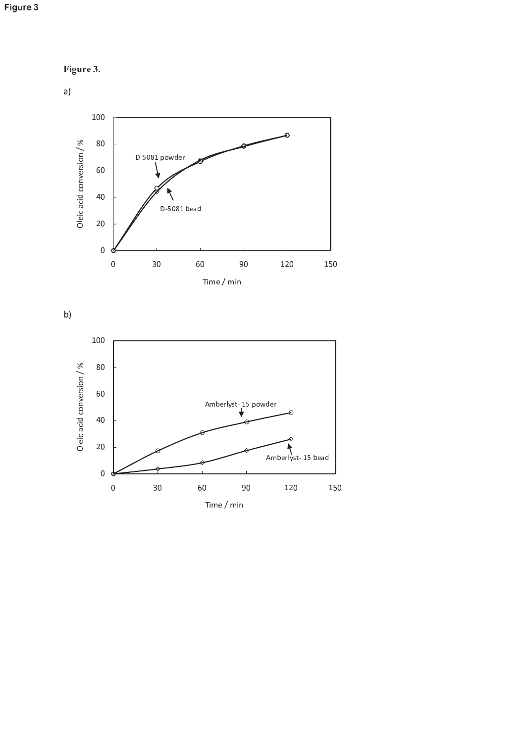







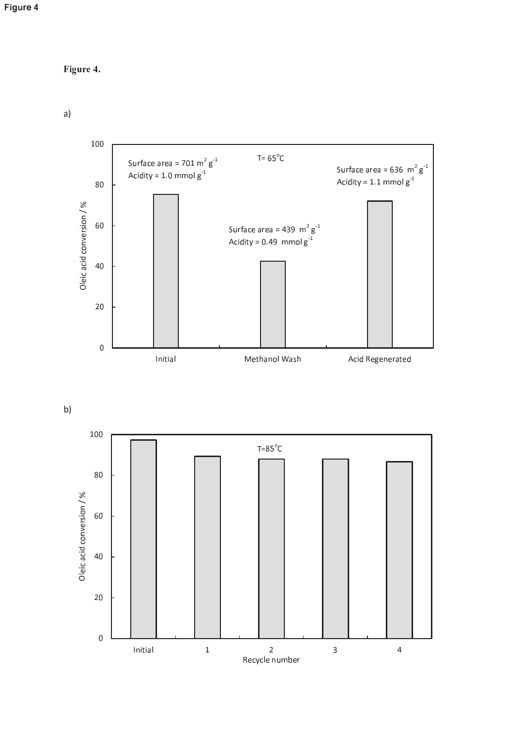```
Figure 4.
```




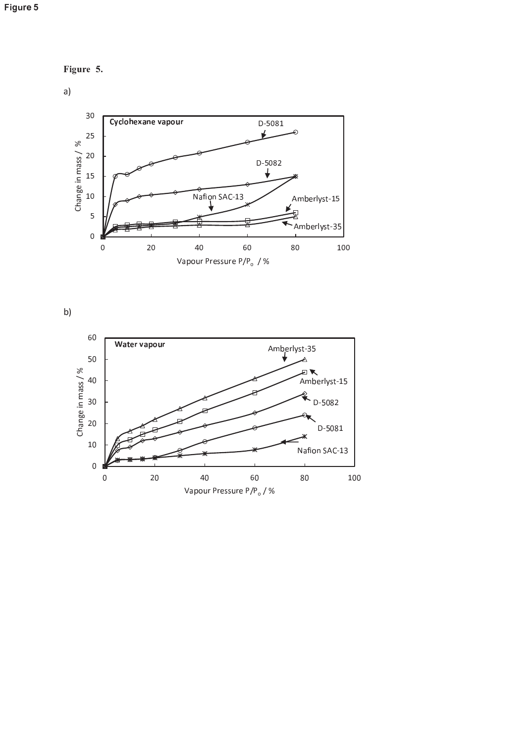





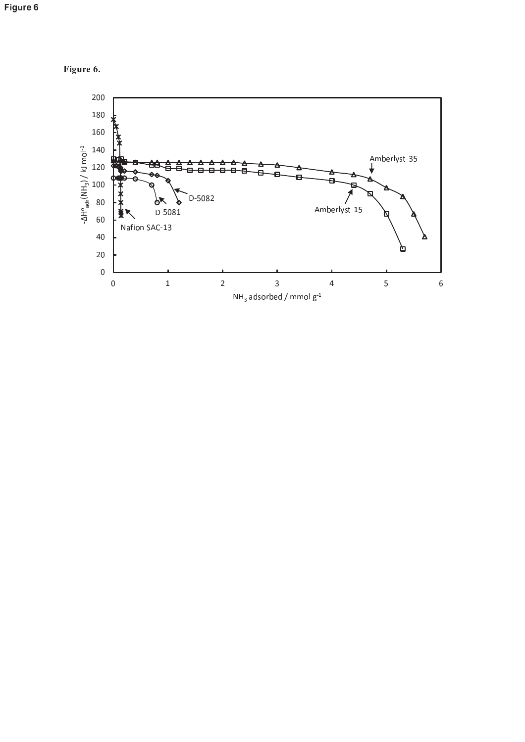

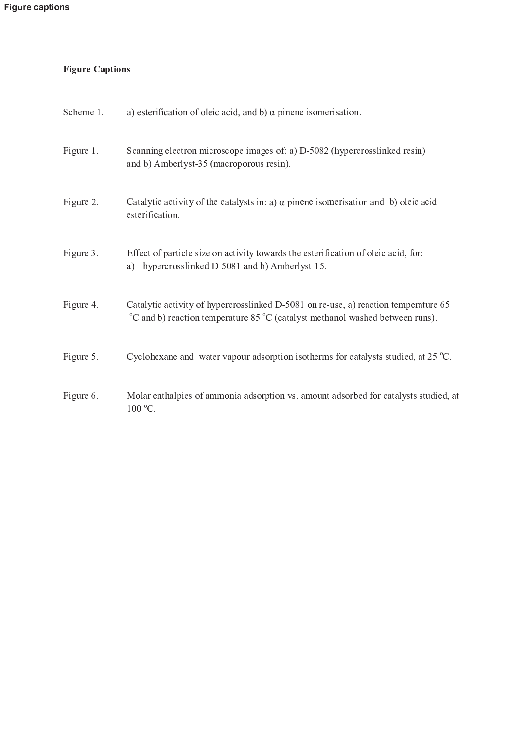## **Figure Captions**

| Scheme 1. | a) esterification of oleic acid, and b) $\alpha$ -pinene isomerisation.                                                                                                                          |
|-----------|--------------------------------------------------------------------------------------------------------------------------------------------------------------------------------------------------|
| Figure 1. | Scanning electron microscope images of: a) D-5082 (hypercrosslinked resin)<br>and b) Amberlyst-35 (macroporous resin).                                                                           |
| Figure 2. | Catalytic activity of the catalysts in: $a)$ $\alpha$ -pinene isomerisation and b) oleic acid<br>esterification.                                                                                 |
| Figure 3. | Effect of particle size on activity towards the esterification of oleic acid, for:<br>hypercrosslinked D-5081 and b) Amberlyst-15.<br>a)                                                         |
| Figure 4. | Catalytic activity of hypercrosslinked D-5081 on re-use, a) reaction temperature 65<br>$\rm{^{\circ}C}$ and b) reaction temperature 85 $\rm{^{\circ}C}$ (catalyst methanol washed between runs). |
| Figure 5. | Cyclohexane and water vapour adsorption isotherms for catalysts studied, at $25 \degree C$ .                                                                                                     |
| Figure 6. | Molar enthalpies of ammonia adsorption vs. amount adsorbed for catalysts studied, at<br>$100^{\circ}$ C.                                                                                         |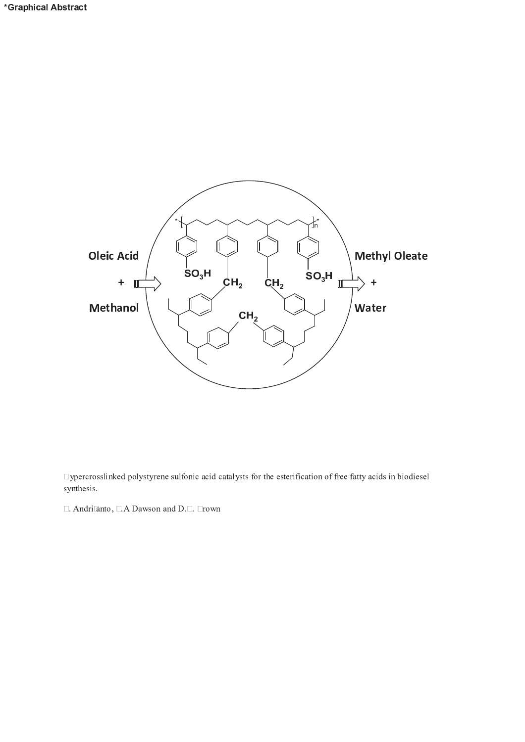

□ ypercrosslinked polystyrene sulfonic acid catalysts for the esterification of free fatty acids in biodiesel synthesis.

 $\Box$  Andri anto,  $\Box$  A Dawson and D. $\Box$ .  $\Box$ rown